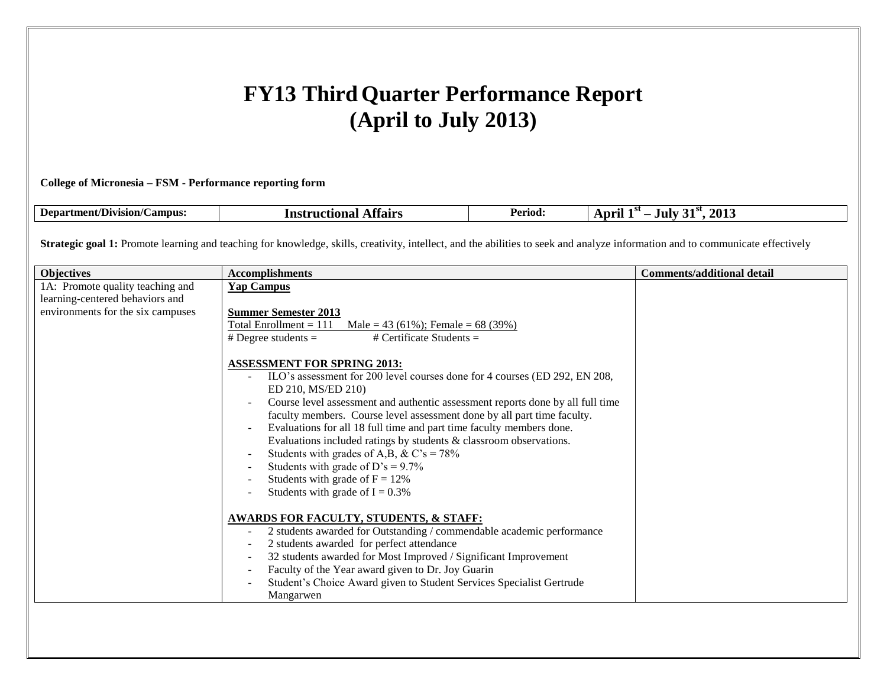# **FY13 Third Quarter Performance Report (April to July 2013)**

# **College of Micronesia – FSM - Performance reporting form**

| $\sim$<br>. .<br>-Department<br>Division/C<br><b>Campus:</b><br>mıətianal<br>7 ns | Period:<br>.ffairs<br>шла | $\Delta \Omega$<br>21 P<br>aur :<br>$\cdots$<br>ZU I |
|-----------------------------------------------------------------------------------|---------------------------|------------------------------------------------------|
|-----------------------------------------------------------------------------------|---------------------------|------------------------------------------------------|

Strategic goal 1: Promote learning and teaching for knowledge, skills, creativity, intellect, and the abilities to seek and analyze information and to communicate effectively

| <b>Objectives</b>                                                                                        | <b>Accomplishments</b>                                                                                                                                                                                                                                                                                                                                                                                                                                                                                                                                                                                              | <b>Comments/additional detail</b> |
|----------------------------------------------------------------------------------------------------------|---------------------------------------------------------------------------------------------------------------------------------------------------------------------------------------------------------------------------------------------------------------------------------------------------------------------------------------------------------------------------------------------------------------------------------------------------------------------------------------------------------------------------------------------------------------------------------------------------------------------|-----------------------------------|
| 1A: Promote quality teaching and<br>learning-centered behaviors and<br>environments for the six campuses | <b>Yap Campus</b><br><b>Summer Semester 2013</b><br>Total Enrollment $= 111$<br>Male = 43 (61%); Female = 68 (39%)<br># Certificate Students $=$<br># Degree students $=$                                                                                                                                                                                                                                                                                                                                                                                                                                           |                                   |
|                                                                                                          | <b>ASSESSMENT FOR SPRING 2013:</b><br>ILO's assessment for 200 level courses done for 4 courses (ED 292, EN 208,<br>ED 210, MS/ED 210)<br>Course level assessment and authentic assessment reports done by all full time<br>faculty members. Course level assessment done by all part time faculty.<br>Evaluations for all 18 full time and part time faculty members done.<br>Evaluations included ratings by students & classroom observations.<br>Students with grades of A,B, & C's = $78\%$<br>Students with grade of D's = $9.7\%$<br>Students with grade of $F = 12\%$<br>Students with grade of $I = 0.3\%$ |                                   |
|                                                                                                          | <b>AWARDS FOR FACULTY, STUDENTS, &amp; STAFF:</b><br>2 students awarded for Outstanding / commendable academic performance<br>2 students awarded for perfect attendance                                                                                                                                                                                                                                                                                                                                                                                                                                             |                                   |
|                                                                                                          | 32 students awarded for Most Improved / Significant Improvement<br>Faculty of the Year award given to Dr. Joy Guarin<br>Student's Choice Award given to Student Services Specialist Gertrude<br>Mangarwen                                                                                                                                                                                                                                                                                                                                                                                                           |                                   |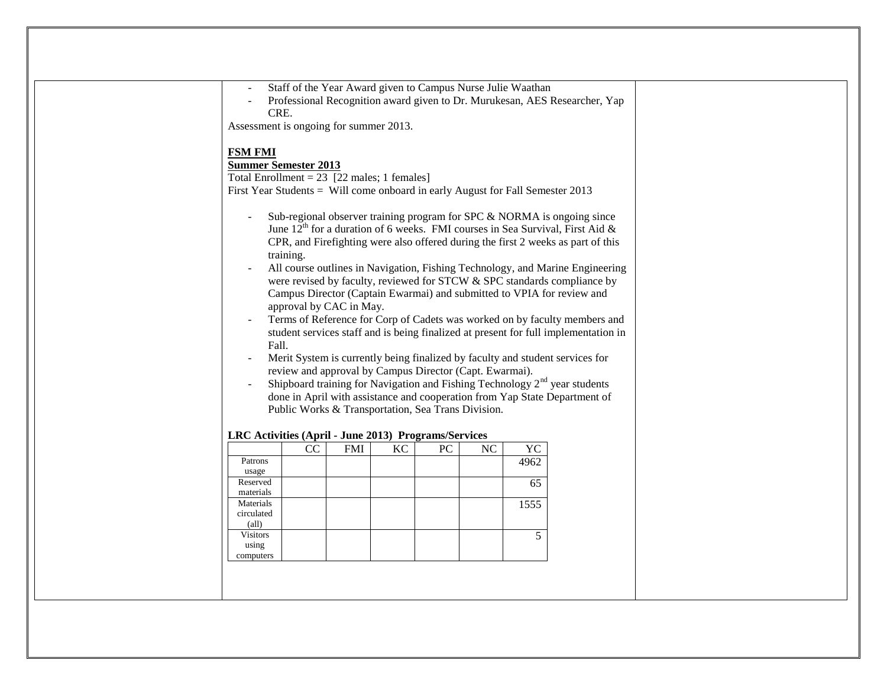| Shipboard training for Navigation and Fishing Technology $2nd$ year students<br>done in April with assistance and cooperation from Yap State Department of<br>Public Works & Transportation, Sea Trans Division.<br>LRC Activities (April - June 2013) Programs/Services<br>NC<br>CC<br><b>FMI</b><br>KC<br>PC<br>YC<br>4962<br>Patrons<br>usage<br>Reserved<br>65<br>materials<br>Materials<br>1555<br>circulated<br>$\text{(all)}$<br><b>Visitors</b><br>5<br>using<br>computers | Assessment is ongoing for summer 2013.<br><b>FSM FMI</b><br><b>Summer Semester 2013</b><br>Total Enrollment = $23$ [22 males; 1 females]<br>First Year Students = Will come onboard in early August for Fall Semester 2013<br>Fall. | CRE.<br>Sub-regional observer training program for SPC & NORMA is ongoing since<br>June $12^{th}$ for a duration of 6 weeks. FMI courses in Sea Survival, First Aid &<br>CPR, and Firefighting were also offered during the first 2 weeks as part of this<br>training.<br>All course outlines in Navigation, Fishing Technology, and Marine Engineering<br>were revised by faculty, reviewed for STCW & SPC standards compliance by<br>Campus Director (Captain Ewarmai) and submitted to VPIA for review and<br>approval by CAC in May.<br>Terms of Reference for Corp of Cadets was worked on by faculty members and<br>student services staff and is being finalized at present for full implementation in<br>Merit System is currently being finalized by faculty and student services for<br>review and approval by Campus Director (Capt. Ewarmai). |  | Professional Recognition award given to Dr. Murukesan, AES Researcher, Yap |  |  |  |  |
|------------------------------------------------------------------------------------------------------------------------------------------------------------------------------------------------------------------------------------------------------------------------------------------------------------------------------------------------------------------------------------------------------------------------------------------------------------------------------------|-------------------------------------------------------------------------------------------------------------------------------------------------------------------------------------------------------------------------------------|-----------------------------------------------------------------------------------------------------------------------------------------------------------------------------------------------------------------------------------------------------------------------------------------------------------------------------------------------------------------------------------------------------------------------------------------------------------------------------------------------------------------------------------------------------------------------------------------------------------------------------------------------------------------------------------------------------------------------------------------------------------------------------------------------------------------------------------------------------------|--|----------------------------------------------------------------------------|--|--|--|--|
|                                                                                                                                                                                                                                                                                                                                                                                                                                                                                    |                                                                                                                                                                                                                                     |                                                                                                                                                                                                                                                                                                                                                                                                                                                                                                                                                                                                                                                                                                                                                                                                                                                           |  |                                                                            |  |  |  |  |
|                                                                                                                                                                                                                                                                                                                                                                                                                                                                                    |                                                                                                                                                                                                                                     |                                                                                                                                                                                                                                                                                                                                                                                                                                                                                                                                                                                                                                                                                                                                                                                                                                                           |  |                                                                            |  |  |  |  |
|                                                                                                                                                                                                                                                                                                                                                                                                                                                                                    |                                                                                                                                                                                                                                     |                                                                                                                                                                                                                                                                                                                                                                                                                                                                                                                                                                                                                                                                                                                                                                                                                                                           |  |                                                                            |  |  |  |  |
|                                                                                                                                                                                                                                                                                                                                                                                                                                                                                    |                                                                                                                                                                                                                                     |                                                                                                                                                                                                                                                                                                                                                                                                                                                                                                                                                                                                                                                                                                                                                                                                                                                           |  |                                                                            |  |  |  |  |
|                                                                                                                                                                                                                                                                                                                                                                                                                                                                                    |                                                                                                                                                                                                                                     |                                                                                                                                                                                                                                                                                                                                                                                                                                                                                                                                                                                                                                                                                                                                                                                                                                                           |  |                                                                            |  |  |  |  |
|                                                                                                                                                                                                                                                                                                                                                                                                                                                                                    |                                                                                                                                                                                                                                     |                                                                                                                                                                                                                                                                                                                                                                                                                                                                                                                                                                                                                                                                                                                                                                                                                                                           |  |                                                                            |  |  |  |  |
|                                                                                                                                                                                                                                                                                                                                                                                                                                                                                    |                                                                                                                                                                                                                                     |                                                                                                                                                                                                                                                                                                                                                                                                                                                                                                                                                                                                                                                                                                                                                                                                                                                           |  |                                                                            |  |  |  |  |
|                                                                                                                                                                                                                                                                                                                                                                                                                                                                                    |                                                                                                                                                                                                                                     |                                                                                                                                                                                                                                                                                                                                                                                                                                                                                                                                                                                                                                                                                                                                                                                                                                                           |  |                                                                            |  |  |  |  |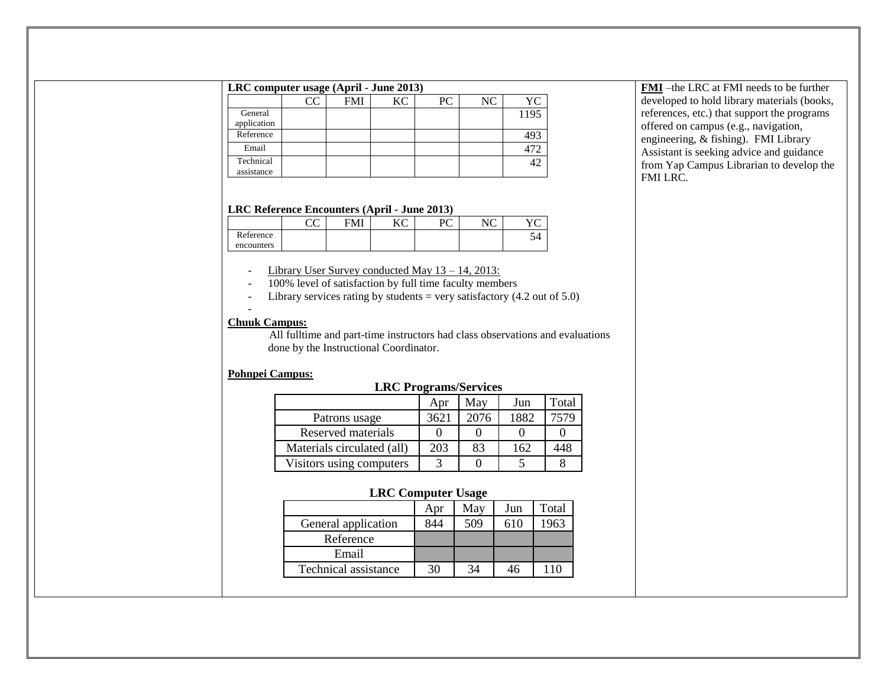# **LRC computer usage (April - June 2013)**

|                         | CC | <b>FMI</b> | KС | PС | NС | YС   |
|-------------------------|----|------------|----|----|----|------|
| General<br>application  |    |            |    |    |    | 1195 |
| Reference               |    |            |    |    |    | 49.  |
| Email                   |    |            |    |    |    |      |
| Technical<br>assistance |    |            |    |    |    |      |

#### **FMI** –the LRC at FMI needs to be further developed to hold library materials (books, references, etc.) that support the programs offered on campus (e.g., navigation, engineering, & fishing). FMI Library Assistant is seeking advice and guidance from Yap Campus Librarian to develop the FMI LRC.

#### **LRC Reference Encounters (April - June 2013)**

|            | $\sim$ | $L^{\prime}$ | $D^{\sim}$ | $\sqrt{ }$ | $\overline{r}$<br>◡ |
|------------|--------|--------------|------------|------------|---------------------|
| Reference  |        |              |            |            | 94                  |
| encounters |        |              |            |            |                     |

- Library User Survey conducted May 13 14, 2013:
- 100% level of satisfaction by full time faculty members
- Library services rating by students = very satisfactory  $(4.2 \text{ out of } 5.0)$

# -

**Chuuk Campus:** All fulltime and part-time instructors had class observations and evaluations done by the Instructional Coordinator.

# **Pohnpei Campus:**

# **LRC Programs/Services**

|                            | Apr  | Mav  | Jun  | Total |
|----------------------------|------|------|------|-------|
| Patrons usage              | 3621 | 2076 | 1882 | 7579  |
| Reserved materials         |      |      |      |       |
| Materials circulated (all) | 203  | 83   | 162  | 448   |
| Visitors using computers   |      |      |      |       |

### **LRC Computer Usage**

|                      | Apr | Mav | Jun | Total |
|----------------------|-----|-----|-----|-------|
| General application  | 844 | 509 | 610 | 1963  |
| Reference            |     |     |     |       |
| Email                |     |     |     |       |
| Technical assistance | 30  | 34  |     |       |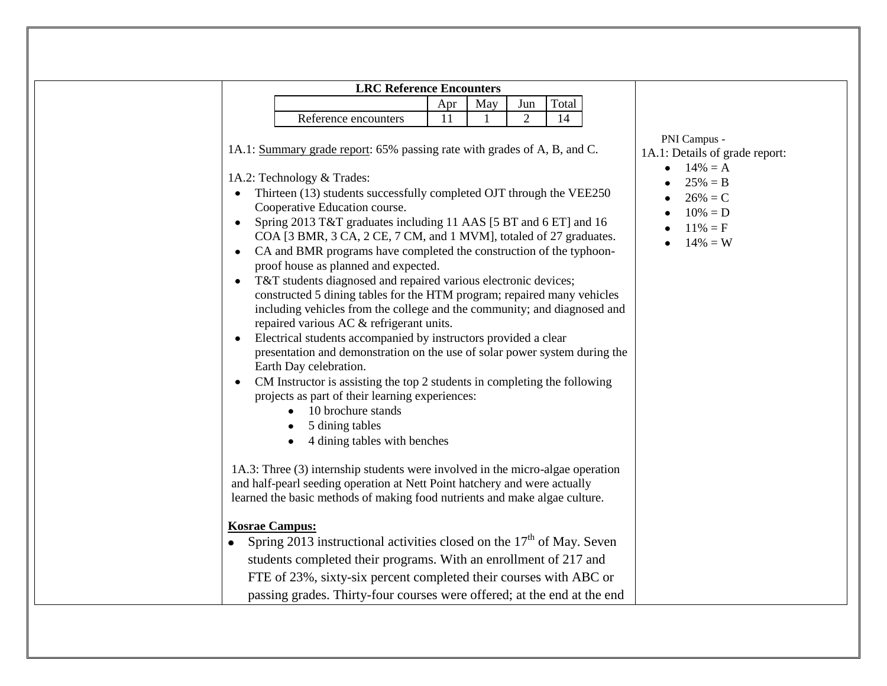| Total<br>May<br>Apr<br>Jun<br>$\overline{2}$<br>14<br>Reference encounters<br>11<br>PNI Campus -<br>1A.1: Summary grade report: 65% passing rate with grades of A, B, and C.<br>1A.1: Details of grade report:<br>$14\% = A$<br>1A.2: Technology & Trades:<br>$25% = B$<br>Thirteen (13) students successfully completed OJT through the VEE250<br>$\bullet$<br>$26\% = C$<br>Cooperative Education course.<br>$10\% = D$<br>Spring 2013 T&T graduates including 11 AAS [5 BT and 6 ET] and 16<br>$\bullet$<br>$11\% = F$<br>COA [3 BMR, 3 CA, 2 CE, 7 CM, and 1 MVM], totaled of 27 graduates.<br>$14\% = W$<br>CA and BMR programs have completed the construction of the typhoon-<br>$\bullet$<br>proof house as planned and expected.<br>T&T students diagnosed and repaired various electronic devices;<br>$\bullet$<br>constructed 5 dining tables for the HTM program; repaired many vehicles<br>including vehicles from the college and the community; and diagnosed and<br>repaired various AC & refrigerant units.<br>Electrical students accompanied by instructors provided a clear<br>presentation and demonstration on the use of solar power system during the<br>Earth Day celebration.<br>CM Instructor is assisting the top 2 students in completing the following<br>$\bullet$<br>projects as part of their learning experiences:<br>10 brochure stands<br>5 dining tables | 4 dining tables with benches<br>1A.3: Three (3) internship students were involved in the micro-algae operation<br>and half-pearl seeding operation at Nett Point hatchery and were actually<br>learned the basic methods of making food nutrients and make algae culture. | <b>Kosrae Campus:</b><br>Spring 2013 instructional activities closed on the $17th$ of May. Seven<br>students completed their programs. With an enrollment of 217 and<br>FTE of 23%, sixty-six percent completed their courses with ABC or | <b>LRC Reference Encounters</b> |  |  |  |
|-----------------------------------------------------------------------------------------------------------------------------------------------------------------------------------------------------------------------------------------------------------------------------------------------------------------------------------------------------------------------------------------------------------------------------------------------------------------------------------------------------------------------------------------------------------------------------------------------------------------------------------------------------------------------------------------------------------------------------------------------------------------------------------------------------------------------------------------------------------------------------------------------------------------------------------------------------------------------------------------------------------------------------------------------------------------------------------------------------------------------------------------------------------------------------------------------------------------------------------------------------------------------------------------------------------------------------------------------------------------------------------------------|---------------------------------------------------------------------------------------------------------------------------------------------------------------------------------------------------------------------------------------------------------------------------|-------------------------------------------------------------------------------------------------------------------------------------------------------------------------------------------------------------------------------------------|---------------------------------|--|--|--|
|                                                                                                                                                                                                                                                                                                                                                                                                                                                                                                                                                                                                                                                                                                                                                                                                                                                                                                                                                                                                                                                                                                                                                                                                                                                                                                                                                                                               |                                                                                                                                                                                                                                                                           |                                                                                                                                                                                                                                           |                                 |  |  |  |
|                                                                                                                                                                                                                                                                                                                                                                                                                                                                                                                                                                                                                                                                                                                                                                                                                                                                                                                                                                                                                                                                                                                                                                                                                                                                                                                                                                                               |                                                                                                                                                                                                                                                                           |                                                                                                                                                                                                                                           |                                 |  |  |  |
|                                                                                                                                                                                                                                                                                                                                                                                                                                                                                                                                                                                                                                                                                                                                                                                                                                                                                                                                                                                                                                                                                                                                                                                                                                                                                                                                                                                               |                                                                                                                                                                                                                                                                           |                                                                                                                                                                                                                                           |                                 |  |  |  |
|                                                                                                                                                                                                                                                                                                                                                                                                                                                                                                                                                                                                                                                                                                                                                                                                                                                                                                                                                                                                                                                                                                                                                                                                                                                                                                                                                                                               |                                                                                                                                                                                                                                                                           |                                                                                                                                                                                                                                           |                                 |  |  |  |
|                                                                                                                                                                                                                                                                                                                                                                                                                                                                                                                                                                                                                                                                                                                                                                                                                                                                                                                                                                                                                                                                                                                                                                                                                                                                                                                                                                                               |                                                                                                                                                                                                                                                                           |                                                                                                                                                                                                                                           |                                 |  |  |  |
|                                                                                                                                                                                                                                                                                                                                                                                                                                                                                                                                                                                                                                                                                                                                                                                                                                                                                                                                                                                                                                                                                                                                                                                                                                                                                                                                                                                               |                                                                                                                                                                                                                                                                           |                                                                                                                                                                                                                                           |                                 |  |  |  |
|                                                                                                                                                                                                                                                                                                                                                                                                                                                                                                                                                                                                                                                                                                                                                                                                                                                                                                                                                                                                                                                                                                                                                                                                                                                                                                                                                                                               |                                                                                                                                                                                                                                                                           |                                                                                                                                                                                                                                           |                                 |  |  |  |
|                                                                                                                                                                                                                                                                                                                                                                                                                                                                                                                                                                                                                                                                                                                                                                                                                                                                                                                                                                                                                                                                                                                                                                                                                                                                                                                                                                                               |                                                                                                                                                                                                                                                                           |                                                                                                                                                                                                                                           |                                 |  |  |  |
|                                                                                                                                                                                                                                                                                                                                                                                                                                                                                                                                                                                                                                                                                                                                                                                                                                                                                                                                                                                                                                                                                                                                                                                                                                                                                                                                                                                               |                                                                                                                                                                                                                                                                           |                                                                                                                                                                                                                                           |                                 |  |  |  |
|                                                                                                                                                                                                                                                                                                                                                                                                                                                                                                                                                                                                                                                                                                                                                                                                                                                                                                                                                                                                                                                                                                                                                                                                                                                                                                                                                                                               |                                                                                                                                                                                                                                                                           | passing grades. Thirty-four courses were offered; at the end at the end                                                                                                                                                                   |                                 |  |  |  |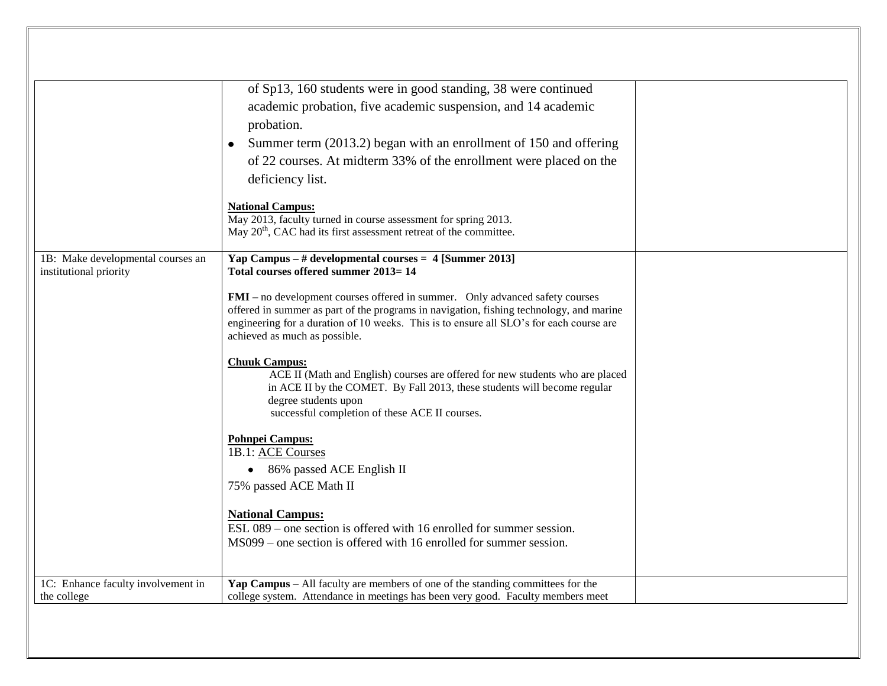|                                                             | of Sp13, 160 students were in good standing, 38 were continued<br>academic probation, five academic suspension, and 14 academic<br>probation.<br>Summer term (2013.2) began with an enrollment of 150 and offering<br>of 22 courses. At midterm 33% of the enrollment were placed on the<br>deficiency list.<br><b>National Campus:</b><br>May 2013, faculty turned in course assessment for spring 2013.<br>May 20 <sup>th</sup> , CAC had its first assessment retreat of the committee. |  |
|-------------------------------------------------------------|--------------------------------------------------------------------------------------------------------------------------------------------------------------------------------------------------------------------------------------------------------------------------------------------------------------------------------------------------------------------------------------------------------------------------------------------------------------------------------------------|--|
| 1B: Make developmental courses an<br>institutional priority | Yap Campus $-$ # developmental courses $= 4$ [Summer 2013]<br>Total courses offered summer 2013=14<br>FMI - no development courses offered in summer. Only advanced safety courses<br>offered in summer as part of the programs in navigation, fishing technology, and marine<br>engineering for a duration of 10 weeks. This is to ensure all SLO's for each course are<br>achieved as much as possible.                                                                                  |  |
|                                                             | <b>Chuuk Campus:</b><br>ACE II (Math and English) courses are offered for new students who are placed<br>in ACE II by the COMET. By Fall 2013, these students will become regular<br>degree students upon<br>successful completion of these ACE II courses.<br><b>Pohnpei Campus:</b>                                                                                                                                                                                                      |  |
|                                                             | 1B.1: ACE Courses<br>• 86% passed ACE English II<br>75% passed ACE Math II                                                                                                                                                                                                                                                                                                                                                                                                                 |  |
|                                                             | <b>National Campus:</b><br>ESL 089 – one section is offered with 16 enrolled for summer session.<br>MS099 – one section is offered with 16 enrolled for summer session.                                                                                                                                                                                                                                                                                                                    |  |
| 1C: Enhance faculty involvement in<br>the college           | Yap Campus – All faculty are members of one of the standing committees for the<br>college system. Attendance in meetings has been very good. Faculty members meet                                                                                                                                                                                                                                                                                                                          |  |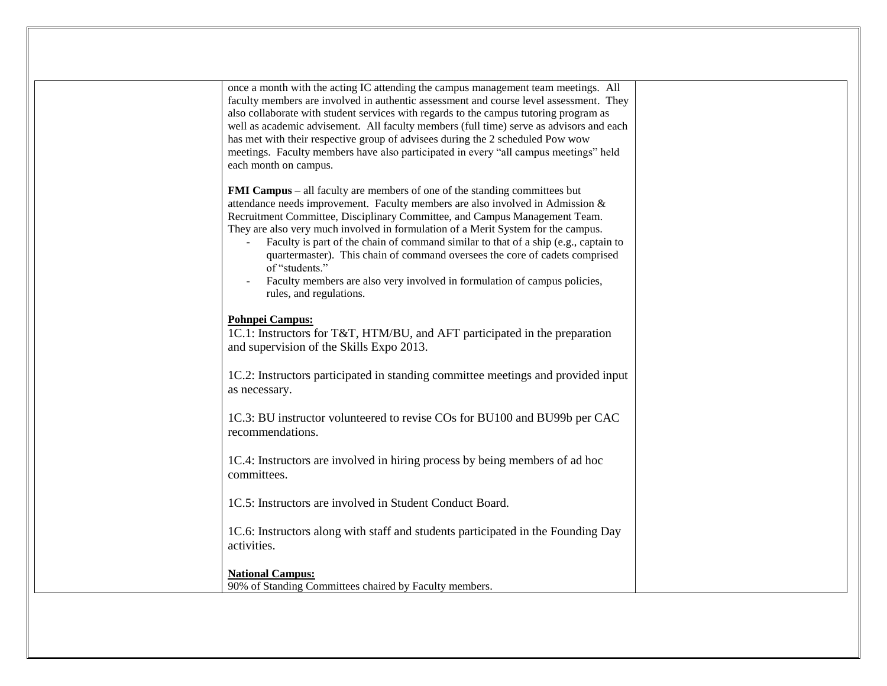| once a month with the acting IC attending the campus management team meetings. All<br>faculty members are involved in authentic assessment and course level assessment. They<br>also collaborate with student services with regards to the campus tutoring program as<br>well as academic advisement. All faculty members (full time) serve as advisors and each<br>has met with their respective group of advisees during the 2 scheduled Pow wow<br>meetings. Faculty members have also participated in every "all campus meetings" held<br>each month on campus.                                                                    |  |
|----------------------------------------------------------------------------------------------------------------------------------------------------------------------------------------------------------------------------------------------------------------------------------------------------------------------------------------------------------------------------------------------------------------------------------------------------------------------------------------------------------------------------------------------------------------------------------------------------------------------------------------|--|
| <b>FMI Campus</b> – all faculty are members of one of the standing committees but<br>attendance needs improvement. Faculty members are also involved in Admission &<br>Recruitment Committee, Disciplinary Committee, and Campus Management Team.<br>They are also very much involved in formulation of a Merit System for the campus.<br>Faculty is part of the chain of command similar to that of a ship (e.g., captain to<br>quartermaster). This chain of command oversees the core of cadets comprised<br>of "students."<br>Faculty members are also very involved in formulation of campus policies,<br>rules, and regulations. |  |
| Pohnpei Campus:<br>1C.1: Instructors for T&T, HTM/BU, and AFT participated in the preparation<br>and supervision of the Skills Expo 2013.                                                                                                                                                                                                                                                                                                                                                                                                                                                                                              |  |
| 1C.2: Instructors participated in standing committee meetings and provided input<br>as necessary.                                                                                                                                                                                                                                                                                                                                                                                                                                                                                                                                      |  |
| 1C.3: BU instructor volunteered to revise COs for BU100 and BU99b per CAC<br>recommendations.                                                                                                                                                                                                                                                                                                                                                                                                                                                                                                                                          |  |
| 1C.4: Instructors are involved in hiring process by being members of ad hoc<br>committees.                                                                                                                                                                                                                                                                                                                                                                                                                                                                                                                                             |  |
| 1C.5: Instructors are involved in Student Conduct Board.                                                                                                                                                                                                                                                                                                                                                                                                                                                                                                                                                                               |  |
| 1C.6: Instructors along with staff and students participated in the Founding Day<br>activities.                                                                                                                                                                                                                                                                                                                                                                                                                                                                                                                                        |  |
| <b>National Campus:</b><br>90% of Standing Committees chaired by Faculty members.                                                                                                                                                                                                                                                                                                                                                                                                                                                                                                                                                      |  |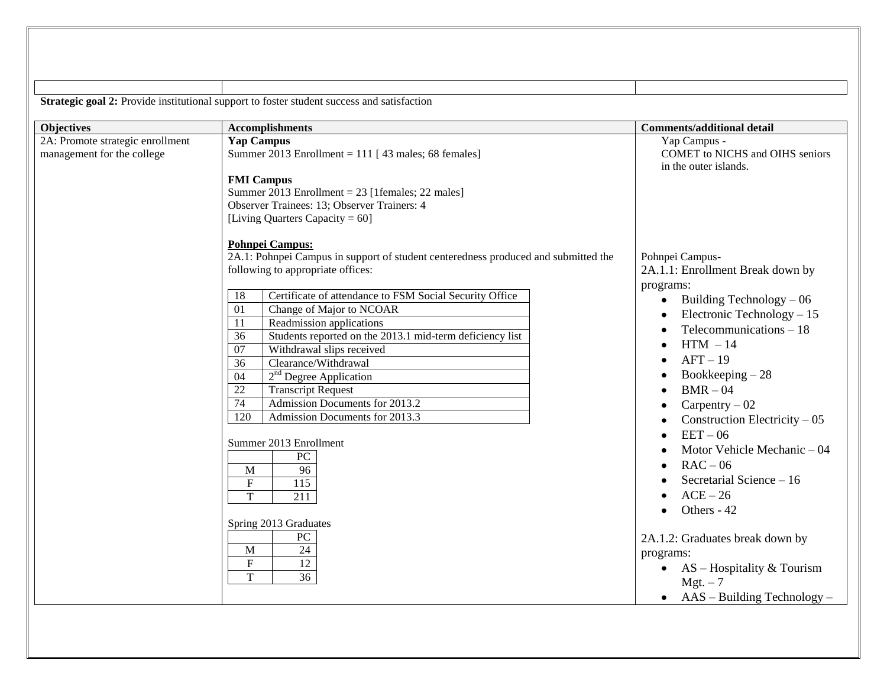|                                                                | Strategic goal 2: Provide institutional support to foster student success and satisfaction                                                                                                                                                                                                                                                                                                                                                                                                                                                                                                                                                                                                                                                                                                                                                                                   |                                                                                                                                                                                                                                                                                                                                                                                                                                                                                                                                                                                                                                                                         |
|----------------------------------------------------------------|------------------------------------------------------------------------------------------------------------------------------------------------------------------------------------------------------------------------------------------------------------------------------------------------------------------------------------------------------------------------------------------------------------------------------------------------------------------------------------------------------------------------------------------------------------------------------------------------------------------------------------------------------------------------------------------------------------------------------------------------------------------------------------------------------------------------------------------------------------------------------|-------------------------------------------------------------------------------------------------------------------------------------------------------------------------------------------------------------------------------------------------------------------------------------------------------------------------------------------------------------------------------------------------------------------------------------------------------------------------------------------------------------------------------------------------------------------------------------------------------------------------------------------------------------------------|
| <b>Objectives</b>                                              | <b>Accomplishments</b>                                                                                                                                                                                                                                                                                                                                                                                                                                                                                                                                                                                                                                                                                                                                                                                                                                                       | <b>Comments/additional detail</b>                                                                                                                                                                                                                                                                                                                                                                                                                                                                                                                                                                                                                                       |
| 2A: Promote strategic enrollment<br>management for the college | Yap Campus<br>Summer 2013 Enrollment = $111$ [43 males; 68 females]<br><b>FMI Campus</b><br>Summer 2013 Enrollment = 23 [1females; 22 males]<br>Observer Trainees: 13; Observer Trainers: 4<br>[Living Quarters Capacity = $60$ ]                                                                                                                                                                                                                                                                                                                                                                                                                                                                                                                                                                                                                                            | Yap Campus -<br><b>COMET</b> to NICHS and OIHS seniors<br>in the outer islands.                                                                                                                                                                                                                                                                                                                                                                                                                                                                                                                                                                                         |
|                                                                | Pohnpei Campus:<br>2A.1: Pohnpei Campus in support of student centeredness produced and submitted the<br>following to appropriate offices:<br>Certificate of attendance to FSM Social Security Office<br>18<br>$\overline{01}$<br>Change of Major to NCOAR<br>$\overline{11}$<br>Readmission applications<br>Students reported on the 2013.1 mid-term deficiency list<br>36<br>$\overline{07}$<br>Withdrawal slips received<br>Clearance/Withdrawal<br>36<br>2 <sup>nd</sup> Degree Application<br>04<br>$\overline{22}$<br><b>Transcript Request</b><br>$\overline{74}$<br>Admission Documents for 2013.2<br>120<br>Admission Documents for 2013.3<br>Summer 2013 Enrollment<br>PC<br>96<br>M<br>$\mathbf F$<br>$\overline{115}$<br>T<br>$\overline{211}$<br>Spring 2013 Graduates<br>${\rm P}{\bf C}$<br>$\overline{24}$<br>M<br>$\mathbf F$<br>12<br>T<br>$\overline{36}$ | Pohnpei Campus-<br>2A.1.1: Enrollment Break down by<br>programs:<br>Building Technology - 06<br>$\bullet$<br>Electronic Technology $-15$<br>$\bullet$<br>Telecommunications $-18$<br>$\bullet$<br>$HTM - 14$<br>$\bullet$<br>$AFT-19$<br>$\bullet$<br>Bookkeeping $-28$<br>$BMR - 04$<br>$\bullet$<br>Carpentry $-02$<br>Construction Electricity $-05$<br>$EET-06$<br>$\bullet$<br>Motor Vehicle Mechanic $-04$<br>$RAC - 06$<br>$\bullet$<br>Secretarial Science - 16<br>$ACE-26$<br>Others - 42<br>$\bullet$<br>2A.1.2: Graduates break down by<br>programs:<br>$AS$ – Hospitality & Tourism<br>$\bullet$<br>$Mgt. -7$<br>$AAS - Building Technology -$<br>$\bullet$ |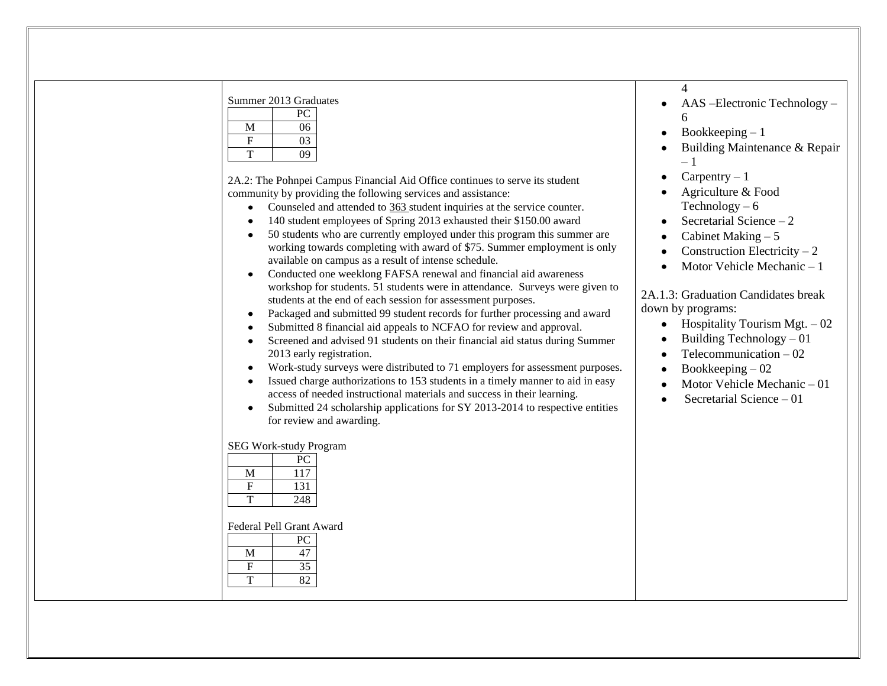| Summer 2013 Graduates<br>${\rm P}{\bf C}$<br>$\mathbf M$<br>06<br>$\mathbf F$<br>03<br>$\overline{T}$<br>09<br>2A.2: The Pohnpei Campus Financial Aid Office continues to serve its student<br>community by providing the following services and assistance:<br>Counseled and attended to 363 student inquiries at the service counter.<br>140 student employees of Spring 2013 exhausted their \$150.00 award<br>50 students who are currently employed under this program this summer are<br>$\bullet$<br>working towards completing with award of \$75. Summer employment is only<br>available on campus as a result of intense schedule.<br>Conducted one weeklong FAFSA renewal and financial aid awareness<br>$\bullet$<br>workshop for students. 51 students were in attendance. Surveys were given to<br>students at the end of each session for assessment purposes.<br>Packaged and submitted 99 student records for further processing and award<br>$\bullet$<br>Submitted 8 financial aid appeals to NCFAO for review and approval.<br>٠<br>Screened and advised 91 students on their financial aid status during Summer<br>2013 early registration.<br>Work-study surveys were distributed to 71 employers for assessment purposes.<br>$\bullet$<br>Issued charge authorizations to 153 students in a timely manner to aid in easy<br>$\bullet$<br>access of needed instructional materials and success in their learning.<br>Submitted 24 scholarship applications for SY 2013-2014 to respective entities<br>$\bullet$<br>for review and awarding.<br>SEG Work-study Program<br>PC<br>$\overline{M}$<br>$\overline{117}$<br>$\boldsymbol{\mathrm{F}}$<br>131<br>$\overline{T}$<br>248 | $\overline{\mathcal{A}}$<br>AAS -Electronic Technology -<br>6<br>Bookkeeping $-1$<br>Building Maintenance & Repair<br>$-1$<br>$Carpentry - 1$<br>Agriculture & Food<br>Technology $-6$<br>Secretarial Science $-2$<br>Cabinet Making $-5$<br>Construction Electricity $-2$<br>Motor Vehicle Mechanic - 1<br>$\bullet$<br>2A.1.3: Graduation Candidates break<br>down by programs:<br>• Hospitality Tourism Mgt. $-02$<br>Building Technology $-01$<br>Telecommunication $-02$<br>Bookkeeping $-02$<br>٠<br>Motor Vehicle Mechanic-01<br>Secretarial Science $-01$<br>$\bullet$ |
|------------------------------------------------------------------------------------------------------------------------------------------------------------------------------------------------------------------------------------------------------------------------------------------------------------------------------------------------------------------------------------------------------------------------------------------------------------------------------------------------------------------------------------------------------------------------------------------------------------------------------------------------------------------------------------------------------------------------------------------------------------------------------------------------------------------------------------------------------------------------------------------------------------------------------------------------------------------------------------------------------------------------------------------------------------------------------------------------------------------------------------------------------------------------------------------------------------------------------------------------------------------------------------------------------------------------------------------------------------------------------------------------------------------------------------------------------------------------------------------------------------------------------------------------------------------------------------------------------------------------------------------------------------------------------------------------------|--------------------------------------------------------------------------------------------------------------------------------------------------------------------------------------------------------------------------------------------------------------------------------------------------------------------------------------------------------------------------------------------------------------------------------------------------------------------------------------------------------------------------------------------------------------------------------|
| Federal Pell Grant Award<br>$\rm{PC}$<br>47<br>M<br>${\bf F}$<br>35<br>$\overline{T}$<br>82                                                                                                                                                                                                                                                                                                                                                                                                                                                                                                                                                                                                                                                                                                                                                                                                                                                                                                                                                                                                                                                                                                                                                                                                                                                                                                                                                                                                                                                                                                                                                                                                          |                                                                                                                                                                                                                                                                                                                                                                                                                                                                                                                                                                                |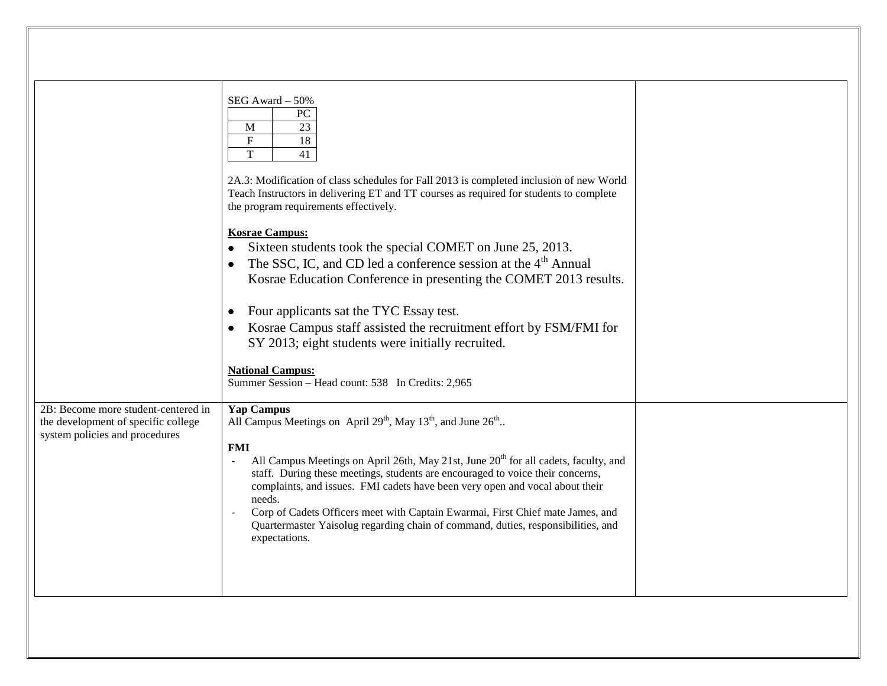|                                                                                                              | SEG Award - 50%<br>${\rm P}{\bf C}$<br>23<br>M<br>$\mathbf F$<br>18<br>T<br>41<br>2A.3: Modification of class schedules for Fall 2013 is completed inclusion of new World<br>Teach Instructors in delivering ET and TT courses as required for students to complete<br>the program requirements effectively.<br><b>Kosrae Campus:</b><br>Sixteen students took the special COMET on June 25, 2013.<br>$\bullet$<br>The SSC, IC, and CD led a conference session at the 4 <sup>th</sup> Annual<br>Kosrae Education Conference in presenting the COMET 2013 results.<br>Four applicants sat the TYC Essay test.<br>$\bullet$<br>Kosrae Campus staff assisted the recruitment effort by FSM/FMI for<br>SY 2013; eight students were initially recruited.<br><b>National Campus:</b><br>Summer Session - Head count: 538 In Credits: 2,965 |  |
|--------------------------------------------------------------------------------------------------------------|----------------------------------------------------------------------------------------------------------------------------------------------------------------------------------------------------------------------------------------------------------------------------------------------------------------------------------------------------------------------------------------------------------------------------------------------------------------------------------------------------------------------------------------------------------------------------------------------------------------------------------------------------------------------------------------------------------------------------------------------------------------------------------------------------------------------------------------|--|
| 2B: Become more student-centered in<br>the development of specific college<br>system policies and procedures | <b>Yap Campus</b><br>All Campus Meetings on April 29 <sup>th</sup> , May 13 <sup>th</sup> , and June 26 <sup>th</sup><br><b>FMI</b><br>All Campus Meetings on April 26th, May 21st, June 20 <sup>th</sup> for all cadets, faculty, and<br>$\omega$<br>staff. During these meetings, students are encouraged to voice their concerns,<br>complaints, and issues. FMI cadets have been very open and vocal about their<br>needs.<br>Corp of Cadets Officers meet with Captain Ewarmai, First Chief mate James, and<br>$\mathcal{L}_{\mathcal{A}}$<br>Quartermaster Yaisolug regarding chain of command, duties, responsibilities, and<br>expectations.                                                                                                                                                                                   |  |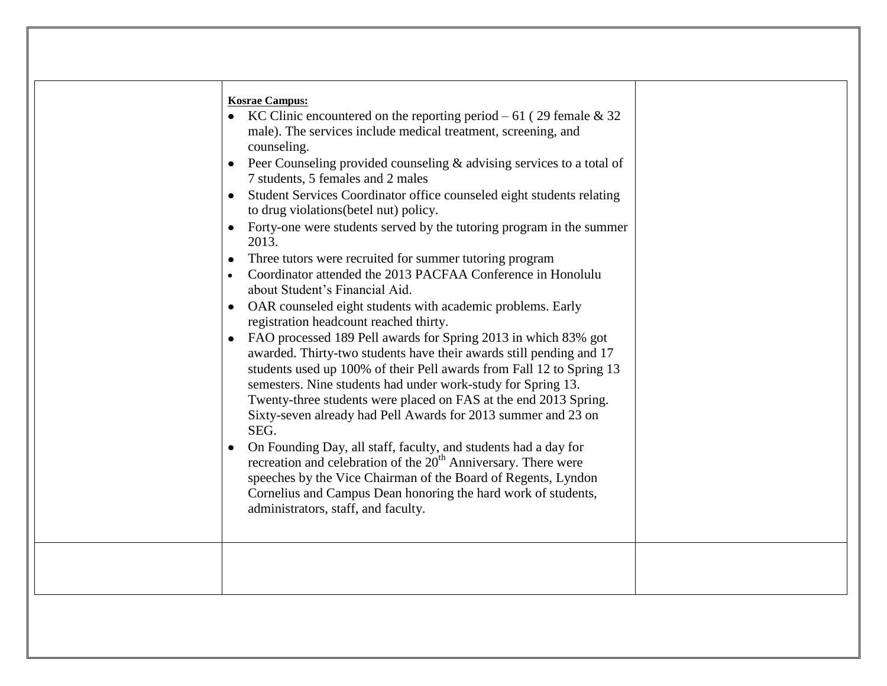| <b>Kosrae Campus:</b><br>• KC Clinic encountered on the reporting period $-61$ (29 female & 32)<br>male). The services include medical treatment, screening, and<br>counseling.<br>• Peer Counseling provided counseling $&$ advising services to a total of<br>7 students, 5 females and 2 males<br>Student Services Coordinator office counseled eight students relating<br>to drug violations (betel nut) policy.<br>• Forty-one were students served by the tutoring program in the summer<br>2013.<br>Three tutors were recruited for summer tutoring program<br>Coordinator attended the 2013 PACFAA Conference in Honolulu<br>about Student's Financial Aid.<br>OAR counseled eight students with academic problems. Early<br>$\bullet$<br>registration headcount reached thirty.<br>FAO processed 189 Pell awards for Spring 2013 in which 83% got<br>awarded. Thirty-two students have their awards still pending and 17<br>students used up 100% of their Pell awards from Fall 12 to Spring 13<br>semesters. Nine students had under work-study for Spring 13.<br>Twenty-three students were placed on FAS at the end 2013 Spring.<br>Sixty-seven already had Pell Awards for 2013 summer and 23 on<br>SEG.<br>On Founding Day, all staff, faculty, and students had a day for<br>recreation and celebration of the 20 <sup>th</sup> Anniversary. There were<br>speeches by the Vice Chairman of the Board of Regents, Lyndon<br>Cornelius and Campus Dean honoring the hard work of students,<br>administrators, staff, and faculty. |
|--------------------------------------------------------------------------------------------------------------------------------------------------------------------------------------------------------------------------------------------------------------------------------------------------------------------------------------------------------------------------------------------------------------------------------------------------------------------------------------------------------------------------------------------------------------------------------------------------------------------------------------------------------------------------------------------------------------------------------------------------------------------------------------------------------------------------------------------------------------------------------------------------------------------------------------------------------------------------------------------------------------------------------------------------------------------------------------------------------------------------------------------------------------------------------------------------------------------------------------------------------------------------------------------------------------------------------------------------------------------------------------------------------------------------------------------------------------------------------------------------------------------------------------------------|
|                                                                                                                                                                                                                                                                                                                                                                                                                                                                                                                                                                                                                                                                                                                                                                                                                                                                                                                                                                                                                                                                                                                                                                                                                                                                                                                                                                                                                                                                                                                                                  |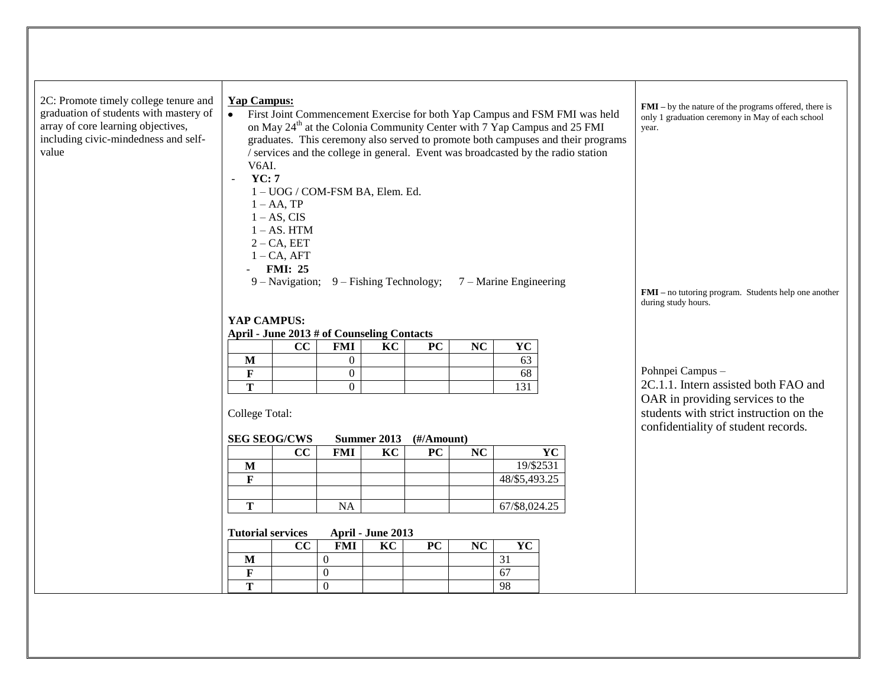| 2C: Promote timely college tenure and<br>graduation of students with mastery of<br>array of core learning objectives,<br>including civic-mindedness and self-<br>value | <b>Yap Campus:</b><br>First Joint Commencement Exercise for both Yap Campus and FSM FMI was held<br>$\bullet$<br>V6AI.<br>YC: 7<br>$\omega$ | on May 24 <sup>th</sup> at the Colonia Community Center with 7 Yap Campus and 25 FMI<br>graduates. This ceremony also served to promote both campuses and their programs<br>/ services and the college in general. Event was broadcasted by the radio station | $FMI - by$ the nature of the programs offered, there is<br>only 1 graduation ceremony in May of each school<br>year. |                                                                                                                    |                        |                                                                |                                                                               |
|------------------------------------------------------------------------------------------------------------------------------------------------------------------------|---------------------------------------------------------------------------------------------------------------------------------------------|---------------------------------------------------------------------------------------------------------------------------------------------------------------------------------------------------------------------------------------------------------------|----------------------------------------------------------------------------------------------------------------------|--------------------------------------------------------------------------------------------------------------------|------------------------|----------------------------------------------------------------|-------------------------------------------------------------------------------|
|                                                                                                                                                                        |                                                                                                                                             | 1 - UOG / COM-FSM BA, Elem. Ed.                                                                                                                                                                                                                               |                                                                                                                      |                                                                                                                    |                        |                                                                |                                                                               |
|                                                                                                                                                                        | $1 - AA$ , TP<br>$1 - AS$ , CIS                                                                                                             |                                                                                                                                                                                                                                                               |                                                                                                                      |                                                                                                                    |                        |                                                                |                                                                               |
|                                                                                                                                                                        | $1 - AS$ . HTM                                                                                                                              |                                                                                                                                                                                                                                                               |                                                                                                                      |                                                                                                                    |                        |                                                                |                                                                               |
|                                                                                                                                                                        | $2 - CA$ , EET                                                                                                                              |                                                                                                                                                                                                                                                               |                                                                                                                      |                                                                                                                    |                        |                                                                |                                                                               |
|                                                                                                                                                                        | $1 - CA$ , AFT                                                                                                                              |                                                                                                                                                                                                                                                               |                                                                                                                      |                                                                                                                    |                        |                                                                |                                                                               |
|                                                                                                                                                                        | <b>FMI: 25</b>                                                                                                                              |                                                                                                                                                                                                                                                               |                                                                                                                      |                                                                                                                    |                        | 9 – Navigation; 9 – Fishing Technology; 7 – Marine Engineering |                                                                               |
|                                                                                                                                                                        |                                                                                                                                             |                                                                                                                                                                                                                                                               |                                                                                                                      |                                                                                                                    |                        |                                                                | $FMI$ – no tutoring program. Students help one another<br>during study hours. |
|                                                                                                                                                                        | YAP CAMPUS:                                                                                                                                 |                                                                                                                                                                                                                                                               |                                                                                                                      |                                                                                                                    |                        |                                                                |                                                                               |
|                                                                                                                                                                        | April - June 2013 # of Counseling Contacts                                                                                                  |                                                                                                                                                                                                                                                               |                                                                                                                      |                                                                                                                    |                        |                                                                |                                                                               |
|                                                                                                                                                                        |                                                                                                                                             | cc<br><b>FMI</b>                                                                                                                                                                                                                                              | KC                                                                                                                   | PC                                                                                                                 | NC                     | YC                                                             |                                                                               |
|                                                                                                                                                                        | $\mathbf M$                                                                                                                                 | $\overline{0}$                                                                                                                                                                                                                                                |                                                                                                                      |                                                                                                                    |                        | 63                                                             | Pohnpei Campus -                                                              |
|                                                                                                                                                                        | $\mathbf F$<br>T                                                                                                                            | $\overline{0}$<br>$\overline{0}$                                                                                                                                                                                                                              |                                                                                                                      |                                                                                                                    |                        | 68<br>$\overline{131}$                                         | 2C.1.1. Intern assisted both FAO and                                          |
|                                                                                                                                                                        | College Total:                                                                                                                              |                                                                                                                                                                                                                                                               |                                                                                                                      | OAR in providing services to the<br>students with strict instruction on the<br>confidentiality of student records. |                        |                                                                |                                                                               |
|                                                                                                                                                                        | <b>SEG SEOG/CWS</b>                                                                                                                         |                                                                                                                                                                                                                                                               | <b>Summer 2013</b>                                                                                                   | $(\frac{H}{A}$ mount)                                                                                              |                        |                                                                |                                                                               |
|                                                                                                                                                                        | M                                                                                                                                           | CC<br><b>FMI</b>                                                                                                                                                                                                                                              | KC                                                                                                                   | PC                                                                                                                 | NC                     | <b>YC</b><br>19/\$2531                                         |                                                                               |
|                                                                                                                                                                        | $\mathbf{F}$                                                                                                                                |                                                                                                                                                                                                                                                               |                                                                                                                      |                                                                                                                    |                        | 48/\$5,493.25                                                  |                                                                               |
|                                                                                                                                                                        |                                                                                                                                             |                                                                                                                                                                                                                                                               |                                                                                                                      |                                                                                                                    |                        |                                                                |                                                                               |
|                                                                                                                                                                        | T                                                                                                                                           | <b>NA</b>                                                                                                                                                                                                                                                     |                                                                                                                      |                                                                                                                    |                        | 67/\$8,024.25                                                  |                                                                               |
|                                                                                                                                                                        | <b>Tutorial services</b>                                                                                                                    | April - June 2013                                                                                                                                                                                                                                             |                                                                                                                      |                                                                                                                    |                        |                                                                |                                                                               |
|                                                                                                                                                                        |                                                                                                                                             | CC<br><b>FMI</b>                                                                                                                                                                                                                                              | KC                                                                                                                   | <b>PC</b>                                                                                                          | $\overline{\text{NC}}$ | $\overline{\mathbf{Y}\mathbf{C}}$                              |                                                                               |
|                                                                                                                                                                        | $\mathbf{M}$                                                                                                                                | $\boldsymbol{0}$                                                                                                                                                                                                                                              |                                                                                                                      |                                                                                                                    |                        | 31                                                             |                                                                               |
|                                                                                                                                                                        | $\mathbf F$                                                                                                                                 | $\boldsymbol{0}$                                                                                                                                                                                                                                              |                                                                                                                      |                                                                                                                    |                        | 67                                                             |                                                                               |
|                                                                                                                                                                        | T                                                                                                                                           | $\overline{0}$                                                                                                                                                                                                                                                |                                                                                                                      |                                                                                                                    |                        | 98                                                             |                                                                               |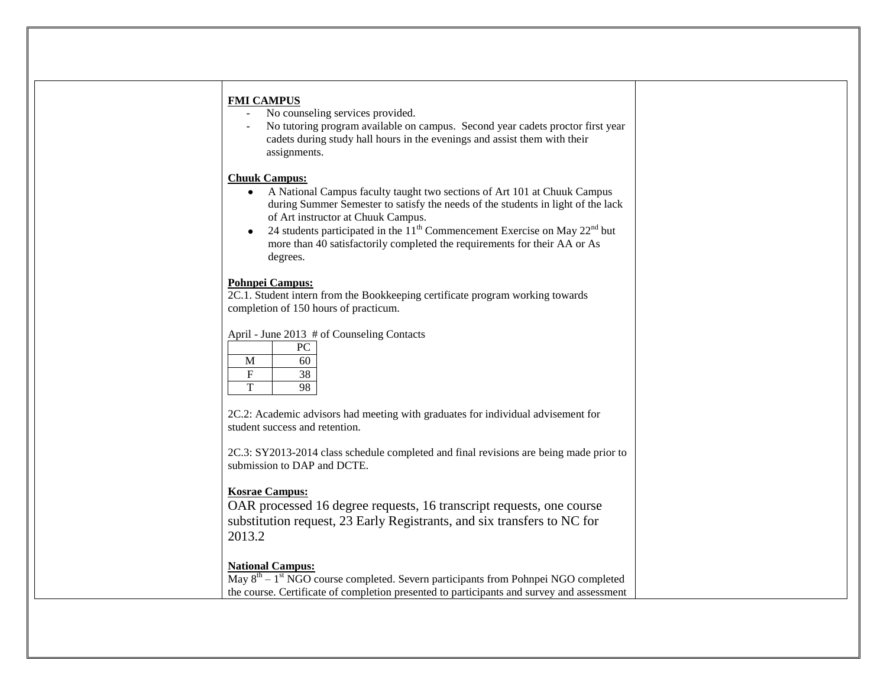| <b>FMI CAMPUS</b><br>No counseling services provided.<br>No tutoring program available on campus. Second year cadets proctor first year<br>cadets during study hall hours in the evenings and assist them with their<br>assignments.                                                                                                                                                                                     |  |
|--------------------------------------------------------------------------------------------------------------------------------------------------------------------------------------------------------------------------------------------------------------------------------------------------------------------------------------------------------------------------------------------------------------------------|--|
| <b>Chuuk Campus:</b><br>A National Campus faculty taught two sections of Art 101 at Chuuk Campus<br>$\bullet$<br>during Summer Semester to satisfy the needs of the students in light of the lack<br>of Art instructor at Chuuk Campus.<br>24 students participated in the $11^{th}$ Commencement Exercise on May $22^{nd}$ but<br>more than 40 satisfactorily completed the requirements for their AA or As<br>degrees. |  |
| <b>Pohnpei Campus:</b><br>2C.1. Student intern from the Bookkeeping certificate program working towards<br>completion of 150 hours of practicum.                                                                                                                                                                                                                                                                         |  |
| April - June 2013 # of Counseling Contacts<br>PC<br>M<br>60<br>F<br>38<br>T<br>98                                                                                                                                                                                                                                                                                                                                        |  |
| 2C.2: Academic advisors had meeting with graduates for individual advisement for<br>student success and retention.                                                                                                                                                                                                                                                                                                       |  |
| 2C.3: SY2013-2014 class schedule completed and final revisions are being made prior to<br>submission to DAP and DCTE.                                                                                                                                                                                                                                                                                                    |  |
| <b>Kosrae Campus:</b><br>OAR processed 16 degree requests, 16 transcript requests, one course<br>substitution request, 23 Early Registrants, and six transfers to NC for<br>2013.2                                                                                                                                                                                                                                       |  |
| <b>National Campus:</b><br>May $8th - 1st$ NGO course completed. Severn participants from Pohnpei NGO completed<br>the course. Certificate of completion presented to participants and survey and assessment                                                                                                                                                                                                             |  |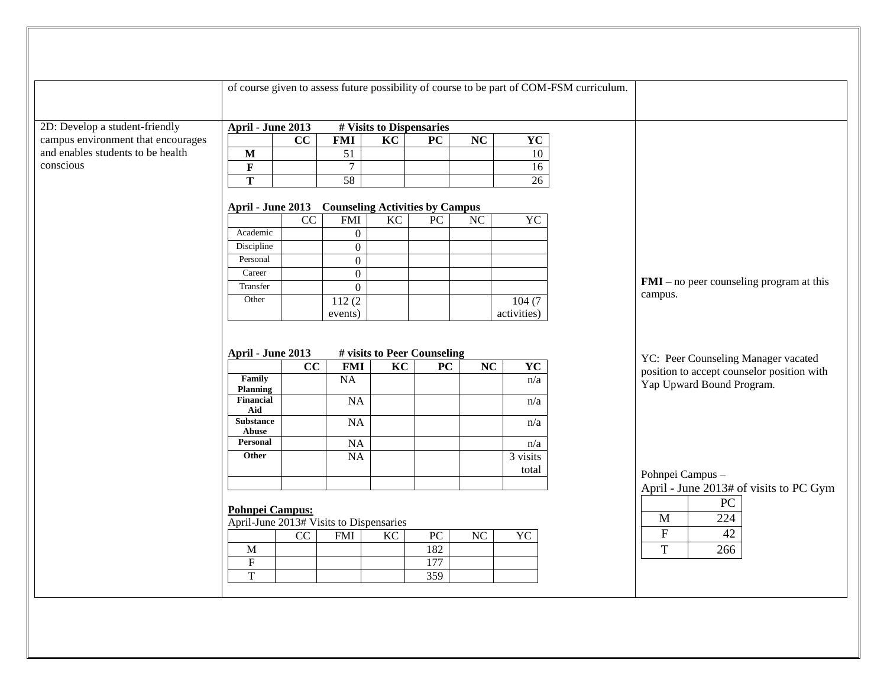|                                    |                                                   |                 |                  |                                                |                  |                        | of course given to assess future possibility of course to be part of COM-FSM curriculum. |                                            |
|------------------------------------|---------------------------------------------------|-----------------|------------------|------------------------------------------------|------------------|------------------------|------------------------------------------------------------------------------------------|--------------------------------------------|
|                                    |                                                   |                 |                  |                                                |                  |                        |                                                                                          |                                            |
| 2D: Develop a student-friendly     | April - June 2013                                 |                 |                  | # Visits to Dispensaries                       |                  |                        |                                                                                          |                                            |
| campus environment that encourages |                                                   | $\overline{cc}$ | <b>FMI</b>       | $\overline{KC}$                                | PC               | $\overline{\text{NC}}$ | <b>YC</b>                                                                                |                                            |
| and enables students to be health  | $\overline{\mathbf{M}}$                           |                 | 51               |                                                |                  |                        | $10\,$                                                                                   |                                            |
| conscious                          | $\mathbf F$                                       |                 | $\tau$           |                                                |                  |                        | 16                                                                                       |                                            |
|                                    | $\overline{\mathbf{T}}$                           |                 | 58               |                                                |                  |                        | $\overline{26}$                                                                          |                                            |
|                                    | April - June 2013 Counseling Activities by Campus |                 |                  |                                                |                  |                        |                                                                                          |                                            |
|                                    |                                                   | $\overline{CC}$ | <b>FMI</b>       | $\overline{KC}$                                | ${\rm P}{\bf C}$ | NC                     | YC                                                                                       |                                            |
|                                    | Academic                                          |                 | $\boldsymbol{0}$ |                                                |                  |                        |                                                                                          |                                            |
|                                    | Discipline                                        |                 | $\overline{0}$   |                                                |                  |                        |                                                                                          |                                            |
|                                    | Personal                                          |                 | $\overline{0}$   |                                                |                  |                        |                                                                                          |                                            |
|                                    | Career                                            |                 | $\boldsymbol{0}$ |                                                |                  |                        |                                                                                          |                                            |
|                                    | Transfer                                          |                 | $\overline{0}$   |                                                |                  |                        |                                                                                          | $FMI$ – no peer counseling program at this |
|                                    | Other                                             |                 | 112(2)           |                                                |                  |                        | 104(7)                                                                                   | campus.                                    |
|                                    |                                                   |                 | events)          |                                                |                  |                        | activities)                                                                              |                                            |
|                                    | April - June 2013                                 |                 |                  | # visits to Peer Counseling<br>$\overline{KC}$ |                  |                        |                                                                                          | YC: Peer Counseling Manager vacated        |
|                                    | Family                                            | $\overline{cc}$ | <b>FMI</b><br>NA |                                                | $\overline{PC}$  | $\overline{NC}$        | $\overline{\text{YC}}$<br>n/a                                                            | position to accept counselor position with |
|                                    | <b>Planning</b>                                   |                 |                  |                                                |                  |                        |                                                                                          | Yap Upward Bound Program.                  |
|                                    | Financial                                         |                 | NA               |                                                |                  |                        | n/a                                                                                      |                                            |
|                                    | Aid<br><b>Substance</b>                           |                 |                  |                                                |                  |                        |                                                                                          |                                            |
|                                    | Abuse                                             |                 | <b>NA</b>        |                                                |                  |                        | n/a                                                                                      |                                            |
|                                    | Personal                                          |                 | NA               |                                                |                  |                        | n/a                                                                                      |                                            |
|                                    | Other                                             |                 | $\overline{NA}$  |                                                |                  |                        | 3 visits                                                                                 |                                            |
|                                    |                                                   |                 |                  |                                                |                  |                        | total                                                                                    | Pohnpei Campus -                           |
|                                    |                                                   |                 |                  |                                                |                  |                        |                                                                                          | April - June 2013# of visits to PC Gym     |
|                                    |                                                   |                 |                  |                                                |                  |                        |                                                                                          | ${\rm P}{\bf C}$                           |
|                                    | <b>Pohnpei Campus:</b>                            |                 |                  |                                                |                  |                        |                                                                                          | 224<br>$\mathbf M$                         |
|                                    | April-June 2013# Visits to Dispensaries           |                 |                  |                                                |                  |                        |                                                                                          | ${\bf F}$<br>42                            |
|                                    |                                                   | $\overline{CC}$ | <b>FMI</b>       | KC                                             | PC<br>182        | $\overline{NC}$        | YC                                                                                       |                                            |
|                                    | $\mathbf{M}$<br>$\overline{\mathrm{F}}$           |                 |                  |                                                | 177              |                        |                                                                                          | $\mathbf T$<br>266                         |
|                                    | $\mathbf T$                                       |                 |                  |                                                | 359              |                        |                                                                                          |                                            |
|                                    |                                                   |                 |                  |                                                |                  |                        |                                                                                          |                                            |
|                                    |                                                   |                 |                  |                                                |                  |                        |                                                                                          |                                            |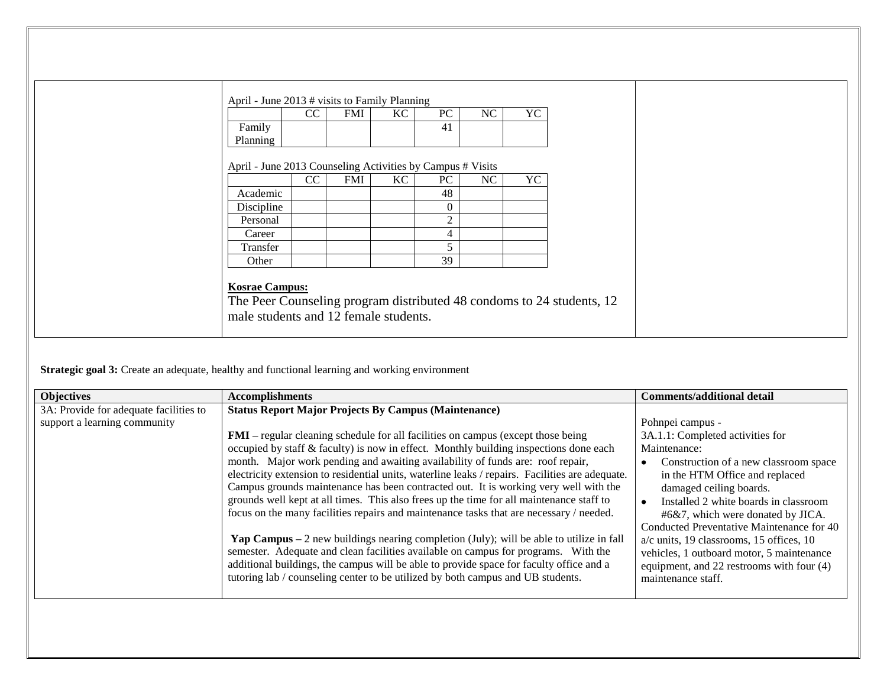| April - June 2013 # visits to Family Planning              |    |            |    |                |    |    |  |  |
|------------------------------------------------------------|----|------------|----|----------------|----|----|--|--|
|                                                            | CC | <b>FMI</b> | KC | PC             | NC | YC |  |  |
| Family                                                     |    |            |    | 41             |    |    |  |  |
| Planning                                                   |    |            |    |                |    |    |  |  |
|                                                            |    |            |    |                |    |    |  |  |
| April - June 2013 Counseling Activities by Campus # Visits |    |            |    |                |    |    |  |  |
|                                                            | CC | <b>FMI</b> | KC | PC             | NC | YC |  |  |
| Academic                                                   |    |            |    | 48             |    |    |  |  |
| Discipline                                                 |    |            |    | $\overline{0}$ |    |    |  |  |
| Personal                                                   |    |            |    | 2              |    |    |  |  |
| Career                                                     |    |            |    | 4              |    |    |  |  |
| Transfer                                                   |    |            |    | 5              |    |    |  |  |
| Other                                                      |    |            |    | 39             |    |    |  |  |

**Strategic goal 3:** Create an adequate, healthy and functional learning and working environment

| <b>Objectives</b>                                                      | <b>Accomplishments</b>                                                                                                                                                                                                                                                                                                                                                                                                                                                                                                                                                                                                                                                                                                                                                                                                                                                                                                                                                                                                                                                                        | <b>Comments/additional detail</b>                                                                                                                                                                                                                                                                                                                                                                                                                                 |
|------------------------------------------------------------------------|-----------------------------------------------------------------------------------------------------------------------------------------------------------------------------------------------------------------------------------------------------------------------------------------------------------------------------------------------------------------------------------------------------------------------------------------------------------------------------------------------------------------------------------------------------------------------------------------------------------------------------------------------------------------------------------------------------------------------------------------------------------------------------------------------------------------------------------------------------------------------------------------------------------------------------------------------------------------------------------------------------------------------------------------------------------------------------------------------|-------------------------------------------------------------------------------------------------------------------------------------------------------------------------------------------------------------------------------------------------------------------------------------------------------------------------------------------------------------------------------------------------------------------------------------------------------------------|
| 3A: Provide for adequate facilities to<br>support a learning community | <b>Status Report Major Projects By Campus (Maintenance)</b><br><b>FMI</b> – regular cleaning schedule for all facilities on campus (except those being<br>occupied by staff $\&$ faculty) is now in effect. Monthly building inspections done each<br>month. Major work pending and awaiting availability of funds are: roof repair,<br>electricity extension to residential units, waterline leaks / repairs. Facilities are adequate.<br>Campus grounds maintenance has been contracted out. It is working very well with the<br>grounds well kept at all times. This also frees up the time for all maintenance staff to<br>focus on the many facilities repairs and maintenance tasks that are necessary / needed.<br><b>Yap Campus</b> $-2$ new buildings nearing completion (July); will be able to utilize in fall<br>semester. Adequate and clean facilities available on campus for programs. With the<br>additional buildings, the campus will be able to provide space for faculty office and a<br>tutoring lab / counseling center to be utilized by both campus and UB students. | Pohnpei campus -<br>3A.1.1: Completed activities for<br>Maintenance:<br>Construction of a new classroom space<br>in the HTM Office and replaced<br>damaged ceiling boards.<br>Installed 2 white boards in classroom<br>#6&7, which were donated by JICA.<br>Conducted Preventative Maintenance for 40<br>a/c units, 19 classrooms, 15 offices, 10<br>vehicles, 1 outboard motor, 5 maintenance<br>equipment, and 22 restrooms with four (4)<br>maintenance staff. |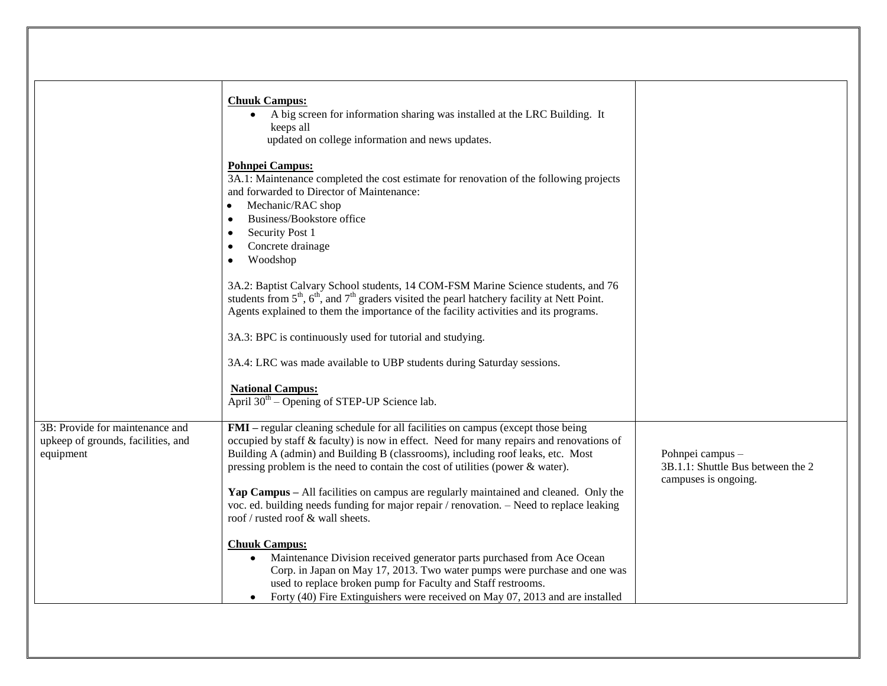|                                                                                    | <b>Chuuk Campus:</b><br>A big screen for information sharing was installed at the LRC Building. It<br>$\bullet$<br>keeps all<br>updated on college information and news updates.                                                                                                                                                                                                                                                                                                                                                                                          |                                                                               |
|------------------------------------------------------------------------------------|---------------------------------------------------------------------------------------------------------------------------------------------------------------------------------------------------------------------------------------------------------------------------------------------------------------------------------------------------------------------------------------------------------------------------------------------------------------------------------------------------------------------------------------------------------------------------|-------------------------------------------------------------------------------|
|                                                                                    | <b>Pohnpei Campus:</b><br>3A.1: Maintenance completed the cost estimate for renovation of the following projects<br>and forwarded to Director of Maintenance:<br>Mechanic/RAC shop<br>$\bullet$<br>Business/Bookstore office<br>Security Post 1<br>$\bullet$<br>Concrete drainage<br>$\bullet$                                                                                                                                                                                                                                                                            |                                                                               |
|                                                                                    | Woodshop<br>$\bullet$<br>3A.2: Baptist Calvary School students, 14 COM-FSM Marine Science students, and 76<br>students from $5th$ , $6th$ , and $7th$ graders visited the pearl hatchery facility at Nett Point.<br>Agents explained to them the importance of the facility activities and its programs.<br>3A.3: BPC is continuously used for tutorial and studying.                                                                                                                                                                                                     |                                                                               |
|                                                                                    | 3A.4: LRC was made available to UBP students during Saturday sessions.<br><b>National Campus:</b><br>April $30th$ – Opening of STEP-UP Science lab.                                                                                                                                                                                                                                                                                                                                                                                                                       |                                                                               |
| 3B: Provide for maintenance and<br>upkeep of grounds, facilities, and<br>equipment | FMI – regular cleaning schedule for all facilities on campus (except those being<br>occupied by staff & faculty) is now in effect. Need for many repairs and renovations of<br>Building A (admin) and Building B (classrooms), including roof leaks, etc. Most<br>pressing problem is the need to contain the cost of utilities (power & water).<br>Yap Campus – All facilities on campus are regularly maintained and cleaned. Only the<br>voc. ed. building needs funding for major repair / renovation. - Need to replace leaking<br>roof / rusted roof & wall sheets. | Pohnpei campus -<br>3B.1.1: Shuttle Bus between the 2<br>campuses is ongoing. |
|                                                                                    | <b>Chuuk Campus:</b><br>Maintenance Division received generator parts purchased from Ace Ocean<br>$\bullet$<br>Corp. in Japan on May 17, 2013. Two water pumps were purchase and one was<br>used to replace broken pump for Faculty and Staff restrooms.<br>Forty (40) Fire Extinguishers were received on May 07, 2013 and are installed                                                                                                                                                                                                                                 |                                                                               |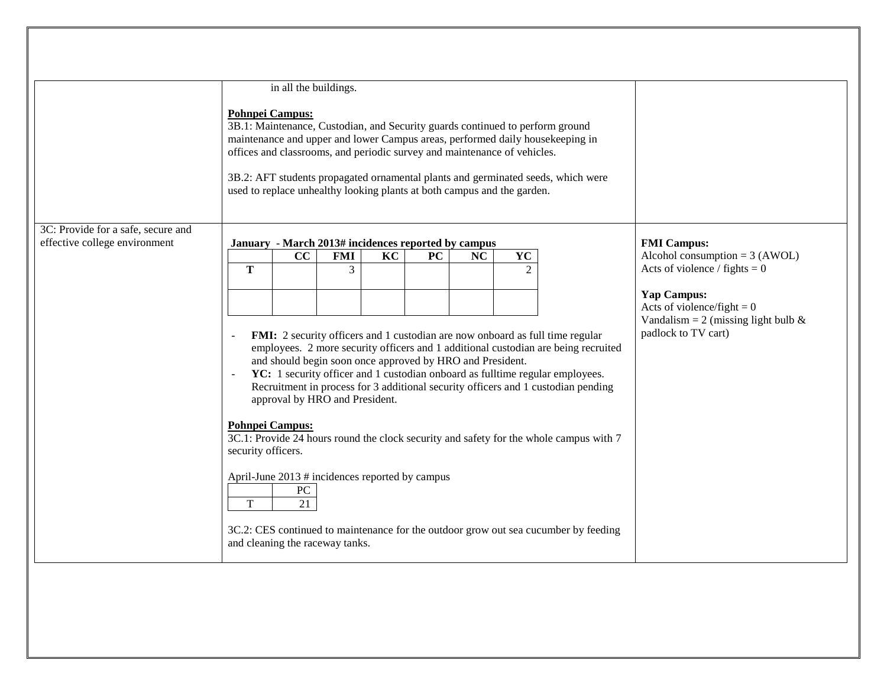|                                                                                             |                                                                                                                                                                                                                                                                                                                                                                                                                                          | in all the buildings. |                                                                   |    |           |    |           |                                                                                     |                                                                                                              |  |
|---------------------------------------------------------------------------------------------|------------------------------------------------------------------------------------------------------------------------------------------------------------------------------------------------------------------------------------------------------------------------------------------------------------------------------------------------------------------------------------------------------------------------------------------|-----------------------|-------------------------------------------------------------------|----|-----------|----|-----------|-------------------------------------------------------------------------------------|--------------------------------------------------------------------------------------------------------------|--|
|                                                                                             | <b>Pohnpei Campus:</b><br>3B.1: Maintenance, Custodian, and Security guards continued to perform ground<br>maintenance and upper and lower Campus areas, performed daily housekeeping in<br>offices and classrooms, and periodic survey and maintenance of vehicles.<br>3B.2: AFT students propagated ornamental plants and germinated seeds, which were<br>used to replace unhealthy looking plants at both campus and the garden.      |                       |                                                                   |    |           |    |           |                                                                                     |                                                                                                              |  |
| 3C: Provide for a safe, secure and                                                          |                                                                                                                                                                                                                                                                                                                                                                                                                                          |                       |                                                                   |    |           |    |           |                                                                                     |                                                                                                              |  |
| effective college environment                                                               |                                                                                                                                                                                                                                                                                                                                                                                                                                          | CC                    | January - March 2013# incidences reported by campus<br><b>FMI</b> | KC | <b>PC</b> | NC | <b>YC</b> |                                                                                     | <b>FMI</b> Campus:<br>Alcohol consumption = $3 (AWOL)$                                                       |  |
|                                                                                             | T                                                                                                                                                                                                                                                                                                                                                                                                                                        |                       | 3                                                                 |    |           |    | 2         |                                                                                     | Acts of violence / fights = $0$                                                                              |  |
|                                                                                             |                                                                                                                                                                                                                                                                                                                                                                                                                                          |                       |                                                                   |    |           |    |           |                                                                                     | Yap Campus:<br>Acts of violence/fight = $0$<br>Vandalism = 2 (missing light bulb $\&$<br>padlock to TV cart) |  |
|                                                                                             | FMI: 2 security officers and 1 custodian are now onboard as full time regular<br>employees. 2 more security officers and 1 additional custodian are being recruited<br>and should begin soon once approved by HRO and President.<br>YC: 1 security officer and 1 custodian onboard as fulltime regular employees.<br>Recruitment in process for 3 additional security officers and 1 custodian pending<br>approval by HRO and President. |                       |                                                                   |    |           |    |           |                                                                                     |                                                                                                              |  |
|                                                                                             | <b>Pohnpei Campus:</b><br>3C.1: Provide 24 hours round the clock security and safety for the whole campus with 7<br>security officers.                                                                                                                                                                                                                                                                                                   |                       |                                                                   |    |           |    |           |                                                                                     |                                                                                                              |  |
| April-June 2013 # incidences reported by campus<br>${\rm P}{\bf C}$<br>$\overline{21}$<br>T |                                                                                                                                                                                                                                                                                                                                                                                                                                          |                       |                                                                   |    |           |    |           |                                                                                     |                                                                                                              |  |
|                                                                                             | and cleaning the raceway tanks.                                                                                                                                                                                                                                                                                                                                                                                                          |                       |                                                                   |    |           |    |           | 3C.2: CES continued to maintenance for the outdoor grow out sea cucumber by feeding |                                                                                                              |  |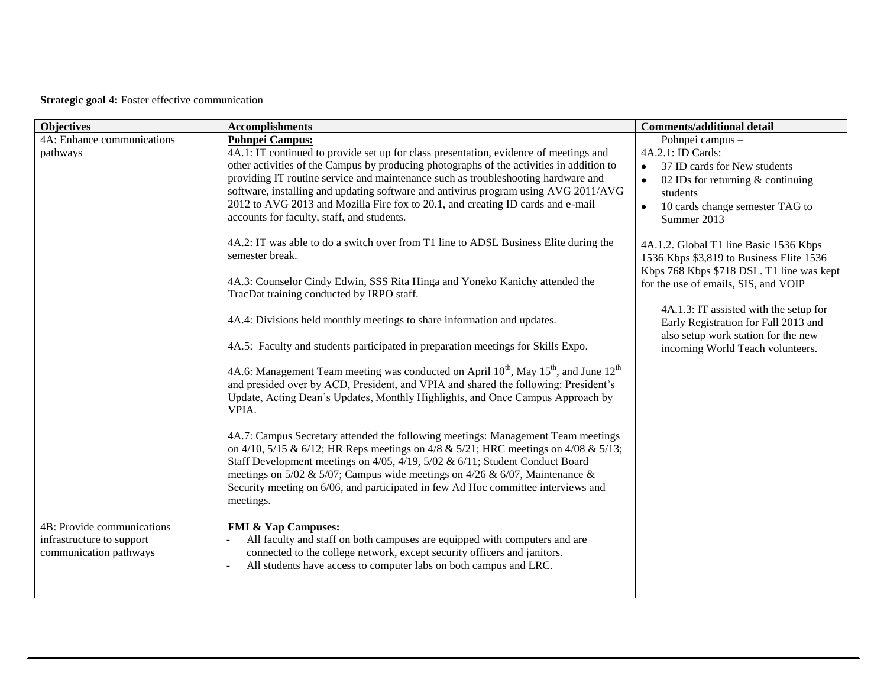# **Strategic goal 4:** Foster effective communication

| <b>Objectives</b>          | <b>Accomplishments</b>                                                                                       | <b>Comments/additional detail</b>                |
|----------------------------|--------------------------------------------------------------------------------------------------------------|--------------------------------------------------|
| 4A: Enhance communications | <b>Pohnpei Campus:</b>                                                                                       | Pohnpei campus -                                 |
| pathways                   | 4A.1: IT continued to provide set up for class presentation, evidence of meetings and                        | 4A.2.1: ID Cards:                                |
|                            | other activities of the Campus by producing photographs of the activities in addition to                     | 37 ID cards for New students<br>$\bullet$        |
|                            | providing IT routine service and maintenance such as troubleshooting hardware and                            | 02 IDs for returning $&$ continuing<br>$\bullet$ |
|                            | software, installing and updating software and antivirus program using AVG 2011/AVG                          | students                                         |
|                            | 2012 to AVG 2013 and Mozilla Fire fox to 20.1, and creating ID cards and e-mail                              | 10 cards change semester TAG to<br>$\bullet$     |
|                            | accounts for faculty, staff, and students.                                                                   | Summer 2013                                      |
|                            | 4A.2: IT was able to do a switch over from T1 line to ADSL Business Elite during the                         | 4A.1.2. Global T1 line Basic 1536 Kbps           |
|                            | semester break.                                                                                              | 1536 Kbps \$3,819 to Business Elite 1536         |
|                            |                                                                                                              | Kbps 768 Kbps \$718 DSL. T1 line was kept        |
|                            | 4A.3: Counselor Cindy Edwin, SSS Rita Hinga and Yoneko Kanichy attended the                                  | for the use of emails, SIS, and VOIP             |
|                            | TracDat training conducted by IRPO staff.                                                                    |                                                  |
|                            |                                                                                                              | 4A.1.3: IT assisted with the setup for           |
|                            | 4A.4: Divisions held monthly meetings to share information and updates.                                      | Early Registration for Fall 2013 and             |
|                            | 4A.5: Faculty and students participated in preparation meetings for Skills Expo.                             | also setup work station for the new              |
|                            |                                                                                                              | incoming World Teach volunteers.                 |
|                            | 4A.6: Management Team meeting was conducted on April $10^{th}$ , May $15^{th}$ , and June $12^{th}$          |                                                  |
|                            | and presided over by ACD, President, and VPIA and shared the following: President's                          |                                                  |
|                            | Update, Acting Dean's Updates, Monthly Highlights, and Once Campus Approach by                               |                                                  |
|                            | VPIA.                                                                                                        |                                                  |
|                            | 4A.7: Campus Secretary attended the following meetings: Management Team meetings                             |                                                  |
|                            | on 4/10, 5/15 & 6/12; HR Reps meetings on 4/8 & 5/21; HRC meetings on 4/08 & 5/13;                           |                                                  |
|                            | Staff Development meetings on 4/05, 4/19, 5/02 & 6/11; Student Conduct Board                                 |                                                  |
|                            | meetings on 5/02 & 5/07; Campus wide meetings on 4/26 & 6/07, Maintenance &                                  |                                                  |
|                            | Security meeting on 6/06, and participated in few Ad Hoc committee interviews and                            |                                                  |
|                            | meetings.                                                                                                    |                                                  |
| 4B: Provide communications |                                                                                                              |                                                  |
| infrastructure to support  | <b>FMI &amp; Yap Campuses:</b><br>All faculty and staff on both campuses are equipped with computers and are |                                                  |
| communication pathways     | connected to the college network, except security officers and janitors.                                     |                                                  |
|                            | All students have access to computer labs on both campus and LRC.                                            |                                                  |
|                            |                                                                                                              |                                                  |
|                            |                                                                                                              |                                                  |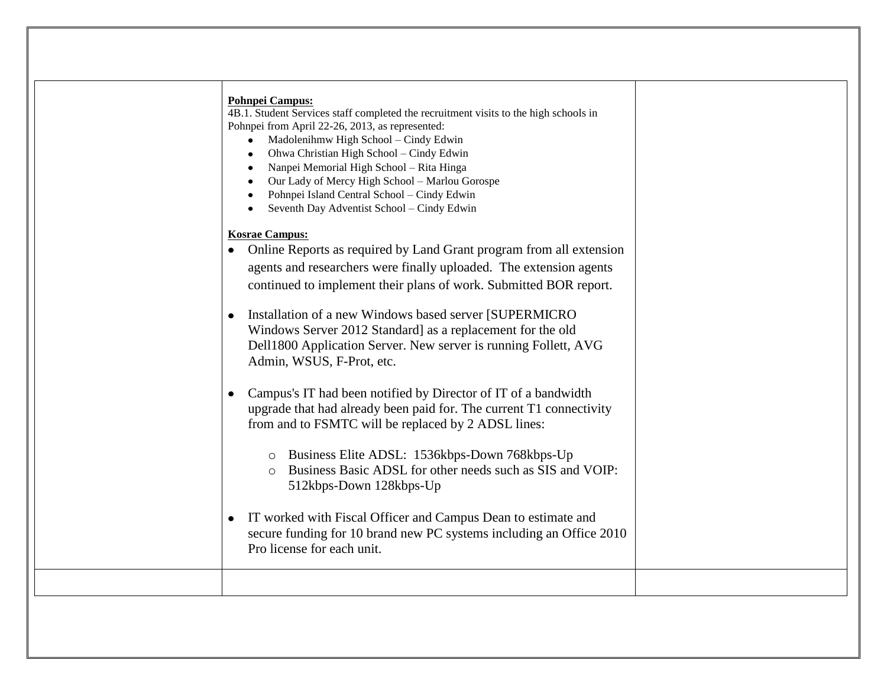| <b>Pohnpei Campus:</b><br>4B.1. Student Services staff completed the recruitment visits to the high schools in<br>Pohnpei from April 22-26, 2013, as represented:                                                                       |
|-----------------------------------------------------------------------------------------------------------------------------------------------------------------------------------------------------------------------------------------|
| Madolenihmw High School - Cindy Edwin<br>Ohwa Christian High School - Cindy Edwin<br>Nanpei Memorial High School - Rita Hinga                                                                                                           |
| Our Lady of Mercy High School - Marlou Gorospe<br>Pohnpei Island Central School - Cindy Edwin<br>Seventh Day Adventist School - Cindy Edwin                                                                                             |
| <b>Kosrae Campus:</b><br>Online Reports as required by Land Grant program from all extension<br>agents and researchers were finally uploaded. The extension agents<br>continued to implement their plans of work. Submitted BOR report. |
| Installation of a new Windows based server [SUPERMICRO]<br>Windows Server 2012 Standard] as a replacement for the old<br>Dell1800 Application Server. New server is running Follett, AVG<br>Admin, WSUS, F-Prot, etc.                   |
| Campus's IT had been notified by Director of IT of a bandwidth<br>$\bullet$<br>upgrade that had already been paid for. The current T1 connectivity<br>from and to FSMTC will be replaced by 2 ADSL lines:                               |
| o Business Elite ADSL: 1536kbps-Down 768kbps-Up<br>Business Basic ADSL for other needs such as SIS and VOIP:<br>$\circ$<br>512kbps-Down 128kbps-Up                                                                                      |
| IT worked with Fiscal Officer and Campus Dean to estimate and<br>secure funding for 10 brand new PC systems including an Office 2010<br>Pro license for each unit.                                                                      |
|                                                                                                                                                                                                                                         |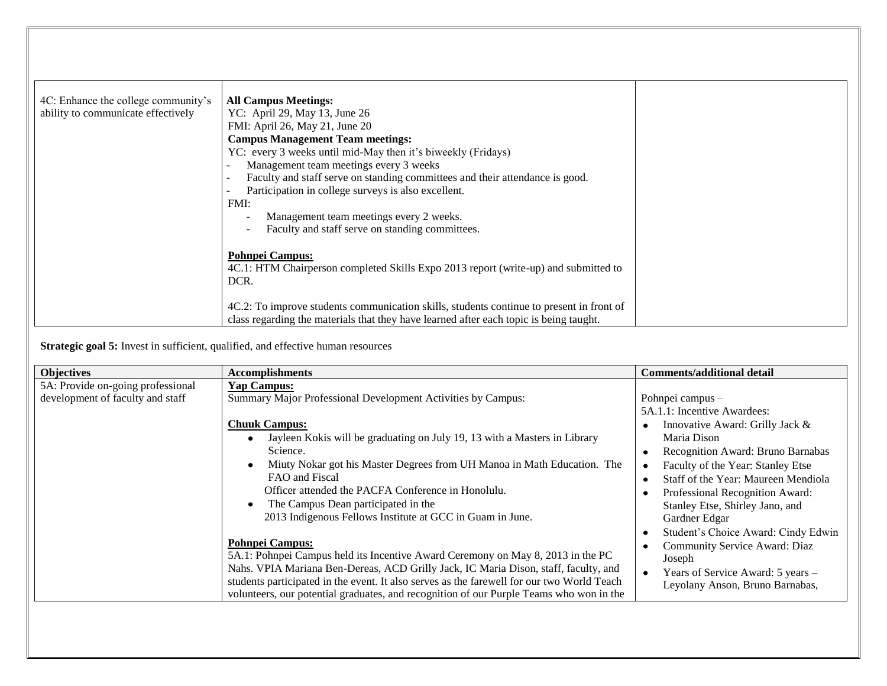| 4C: Enhance the college community's<br>ability to communicate effectively | <b>All Campus Meetings:</b><br>YC: April 29, May 13, June 26<br>FMI: April 26, May 21, June 20<br><b>Campus Management Team meetings:</b><br>YC: every 3 weeks until mid-May then it's biweekly (Fridays)<br>Management team meetings every 3 weeks<br>Faculty and staff serve on standing committees and their attendance is good.<br>Participation in college surveys is also excellent.<br>FMI:<br>Management team meetings every 2 weeks.<br>Faculty and staff serve on standing committees.<br><b>Pohnpei Campus:</b><br>4C.1: HTM Chairperson completed Skills Expo 2013 report (write-up) and submitted to |  |
|---------------------------------------------------------------------------|-------------------------------------------------------------------------------------------------------------------------------------------------------------------------------------------------------------------------------------------------------------------------------------------------------------------------------------------------------------------------------------------------------------------------------------------------------------------------------------------------------------------------------------------------------------------------------------------------------------------|--|
|                                                                           | DCR.<br>4C.2: To improve students communication skills, students continue to present in front of                                                                                                                                                                                                                                                                                                                                                                                                                                                                                                                  |  |
|                                                                           | class regarding the materials that they have learned after each topic is being taught.                                                                                                                                                                                                                                                                                                                                                                                                                                                                                                                            |  |

**Strategic goal 5:** Invest in sufficient, qualified, and effective human resources

| <b>Objectives</b>                                                     | <b>Accomplishments</b>                                                                                                                                                                                                                                                                                                                                                                                                                                     | <b>Comments/additional detail</b>                                                                                                                                                                                                                                                                                                                |
|-----------------------------------------------------------------------|------------------------------------------------------------------------------------------------------------------------------------------------------------------------------------------------------------------------------------------------------------------------------------------------------------------------------------------------------------------------------------------------------------------------------------------------------------|--------------------------------------------------------------------------------------------------------------------------------------------------------------------------------------------------------------------------------------------------------------------------------------------------------------------------------------------------|
| 5A: Provide on-going professional<br>development of faculty and staff | <b>Yap Campus:</b><br>Summary Major Professional Development Activities by Campus:<br><b>Chuuk Campus:</b><br>Jayleen Kokis will be graduating on July 19, 13 with a Masters in Library<br>Science.<br>Miuty Nokar got his Master Degrees from UH Manoa in Math Education. The<br>FAO and Fiscal<br>Officer attended the PACFA Conference in Honolulu.<br>The Campus Dean participated in the<br>2013 Indigenous Fellows Institute at GCC in Guam in June. | Pohnpei campus -<br>5A.1.1: Incentive Awardees:<br>Innovative Award: Grilly Jack &<br>Maria Dison<br>Recognition Award: Bruno Barnabas<br>Faculty of the Year: Stanley Etse<br>Staff of the Year: Maureen Mendiola<br>Professional Recognition Award:<br>Stanley Etse, Shirley Jano, and<br>Gardner Edgar<br>Student's Choice Award: Cindy Edwin |
|                                                                       | <b>Pohnpei Campus:</b><br>5A.1: Pohnpei Campus held its Incentive Award Ceremony on May 8, 2013 in the PC<br>Nahs. VPIA Mariana Ben-Dereas, ACD Grilly Jack, IC Maria Dison, staff, faculty, and<br>students participated in the event. It also serves as the farewell for our two World Teach<br>volunteers, our potential graduates, and recognition of our Purple Teams who won in the                                                                  | Community Service Award: Diaz<br>Joseph<br>Years of Service Award: 5 years -<br>$\bullet$<br>Leyolany Anson, Bruno Barnabas,                                                                                                                                                                                                                     |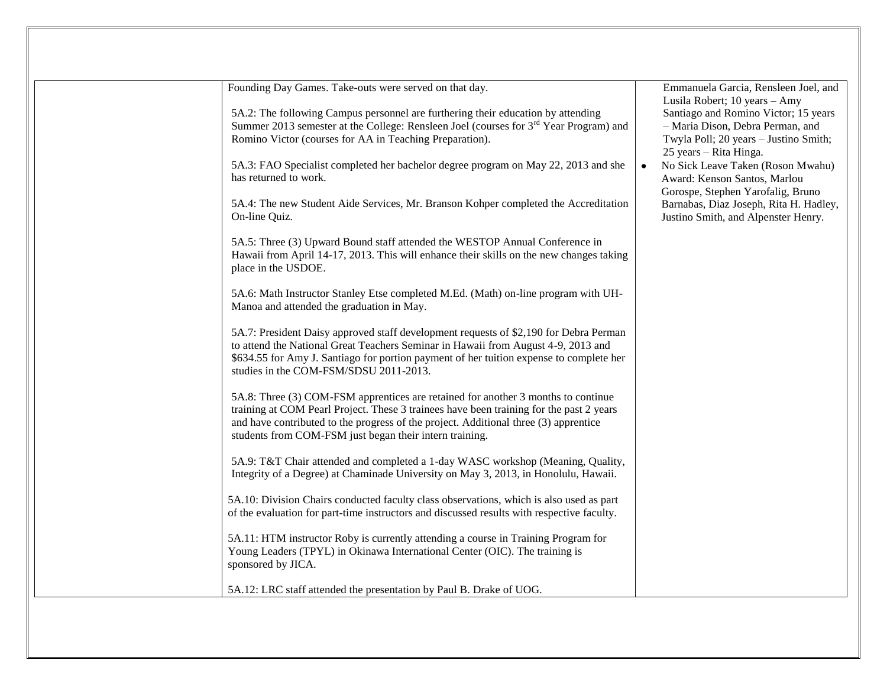| Founding Day Games. Take-outs were served on that day.<br>5A.2: The following Campus personnel are furthering their education by attending                                                                                                                                                                                      | Emmanuela Garcia, Rensleen Joel, and<br>Lusila Robert; 10 years - Amy<br>Santiago and Romino Victor; 15 years |
|---------------------------------------------------------------------------------------------------------------------------------------------------------------------------------------------------------------------------------------------------------------------------------------------------------------------------------|---------------------------------------------------------------------------------------------------------------|
| Summer 2013 semester at the College: Rensleen Joel (courses for 3 <sup>rd</sup> Year Program) and<br>Romino Victor (courses for AA in Teaching Preparation).                                                                                                                                                                    | - Maria Dison, Debra Perman, and<br>Twyla Poll; 20 years - Justino Smith;<br>25 years – Rita Hinga.           |
| 5A.3: FAO Specialist completed her bachelor degree program on May 22, 2013 and she<br>has returned to work.                                                                                                                                                                                                                     | No Sick Leave Taken (Roson Mwahu)<br>Award: Kenson Santos, Marlou<br>Gorospe, Stephen Yarofalig, Bruno        |
| 5A.4: The new Student Aide Services, Mr. Branson Kohper completed the Accreditation<br>On-line Quiz.                                                                                                                                                                                                                            | Barnabas, Diaz Joseph, Rita H. Hadley,<br>Justino Smith, and Alpenster Henry.                                 |
| 5A.5: Three (3) Upward Bound staff attended the WESTOP Annual Conference in<br>Hawaii from April 14-17, 2013. This will enhance their skills on the new changes taking<br>place in the USDOE.                                                                                                                                   |                                                                                                               |
| 5A.6: Math Instructor Stanley Etse completed M.Ed. (Math) on-line program with UH-<br>Manoa and attended the graduation in May.                                                                                                                                                                                                 |                                                                                                               |
| 5A.7: President Daisy approved staff development requests of \$2,190 for Debra Perman<br>to attend the National Great Teachers Seminar in Hawaii from August 4-9, 2013 and<br>\$634.55 for Amy J. Santiago for portion payment of her tuition expense to complete her<br>studies in the COM-FSM/SDSU 2011-2013.                 |                                                                                                               |
| 5A.8: Three (3) COM-FSM apprentices are retained for another 3 months to continue<br>training at COM Pearl Project. These 3 trainees have been training for the past 2 years<br>and have contributed to the progress of the project. Additional three (3) apprentice<br>students from COM-FSM just began their intern training. |                                                                                                               |
| 5A.9: T&T Chair attended and completed a 1-day WASC workshop (Meaning, Quality,<br>Integrity of a Degree) at Chaminade University on May 3, 2013, in Honolulu, Hawaii.                                                                                                                                                          |                                                                                                               |
| 5A.10: Division Chairs conducted faculty class observations, which is also used as part<br>of the evaluation for part-time instructors and discussed results with respective faculty.                                                                                                                                           |                                                                                                               |
| 5A.11: HTM instructor Roby is currently attending a course in Training Program for<br>Young Leaders (TPYL) in Okinawa International Center (OIC). The training is<br>sponsored by JICA.                                                                                                                                         |                                                                                                               |
| 5A.12: LRC staff attended the presentation by Paul B. Drake of UOG.                                                                                                                                                                                                                                                             |                                                                                                               |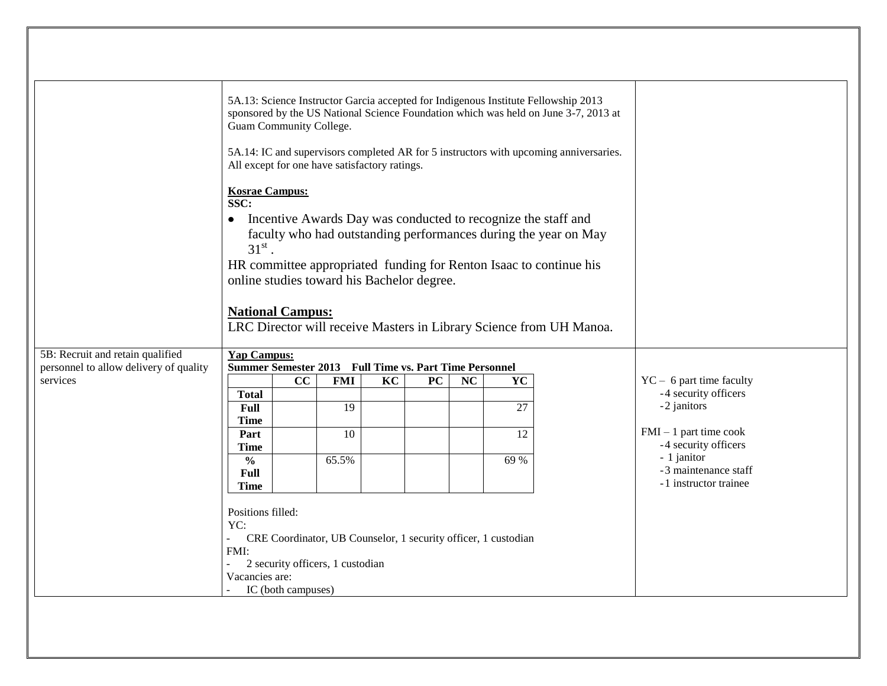|                                                    | 5A.13: Science Instructor Garcia accepted for Indigenous Institute Fellowship 2013<br>sponsored by the US National Science Foundation which was held on June 3-7, 2013 at<br>Guam Community College.<br>5A.14: IC and supervisors completed AR for 5 instructors with upcoming anniversaries.<br>All except for one have satisfactory ratings.                                                                        |                    |                                  |    |    |           |                                                                |  |                            |
|----------------------------------------------------|-----------------------------------------------------------------------------------------------------------------------------------------------------------------------------------------------------------------------------------------------------------------------------------------------------------------------------------------------------------------------------------------------------------------------|--------------------|----------------------------------|----|----|-----------|----------------------------------------------------------------|--|----------------------------|
|                                                    | <b>Kosrae Campus:</b><br>SSC:<br>Incentive Awards Day was conducted to recognize the staff and<br>$\bullet$<br>faculty who had outstanding performances during the year on May<br>$31^{\rm st}$<br>HR committee appropriated funding for Renton Isaac to continue his<br>online studies toward his Bachelor degree.<br><b>National Campus:</b><br>LRC Director will receive Masters in Library Science from UH Manoa. |                    |                                  |    |    |           |                                                                |  |                            |
| 5B: Recruit and retain qualified                   | <b>Yap Campus:</b>                                                                                                                                                                                                                                                                                                                                                                                                    |                    |                                  |    |    |           |                                                                |  |                            |
| personnel to allow delivery of quality<br>services | Summer Semester 2013 Full Time vs. Part Time Personnel                                                                                                                                                                                                                                                                                                                                                                | cc                 | <b>FMI</b>                       | KC | PC | <b>NC</b> | YC                                                             |  | $YC - 6$ part time faculty |
|                                                    | <b>Total</b>                                                                                                                                                                                                                                                                                                                                                                                                          |                    |                                  |    |    |           |                                                                |  | -4 security officers       |
|                                                    | <b>Full</b>                                                                                                                                                                                                                                                                                                                                                                                                           |                    | 19                               |    |    |           | 27                                                             |  | -2 janitors                |
|                                                    | Time                                                                                                                                                                                                                                                                                                                                                                                                                  |                    |                                  |    |    |           |                                                                |  | $FMI - 1$ part time cook   |
|                                                    | Part<br><b>Time</b>                                                                                                                                                                                                                                                                                                                                                                                                   |                    | 10                               |    |    |           | 12                                                             |  | -4 security officers       |
|                                                    | $\frac{0}{0}$                                                                                                                                                                                                                                                                                                                                                                                                         |                    | 65.5%                            |    |    |           | 69 %                                                           |  | - 1 janitor                |
|                                                    | <b>Full</b>                                                                                                                                                                                                                                                                                                                                                                                                           |                    |                                  |    |    |           |                                                                |  | -3 maintenance staff       |
|                                                    | <b>Time</b>                                                                                                                                                                                                                                                                                                                                                                                                           |                    |                                  |    |    |           |                                                                |  | -1 instructor trainee      |
|                                                    | Positions filled:<br>YC:<br>FMI:<br>Vacancies are:                                                                                                                                                                                                                                                                                                                                                                    |                    | 2 security officers, 1 custodian |    |    |           | CRE Coordinator, UB Counselor, 1 security officer, 1 custodian |  |                            |
|                                                    |                                                                                                                                                                                                                                                                                                                                                                                                                       | IC (both campuses) |                                  |    |    |           |                                                                |  |                            |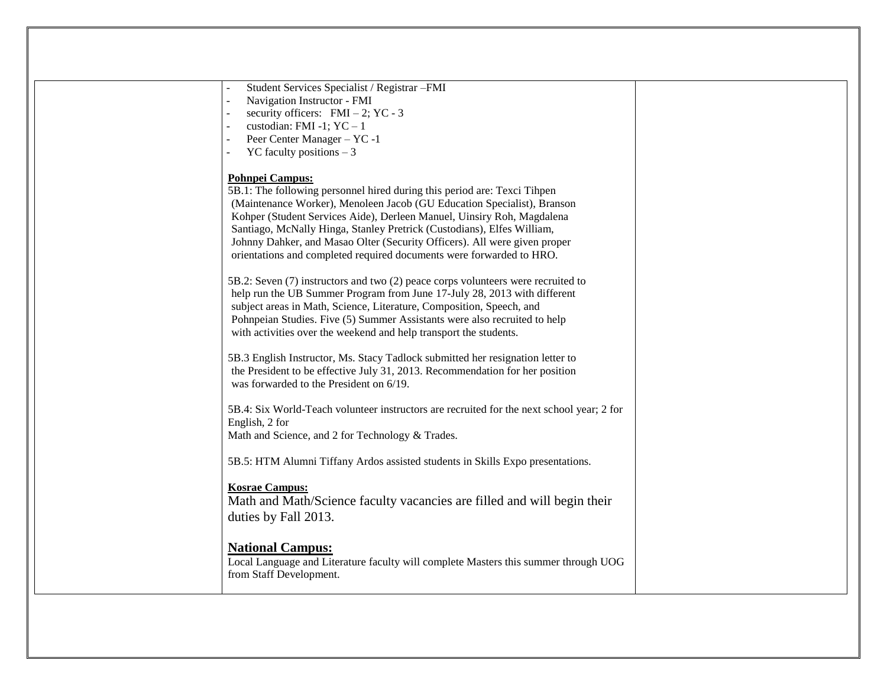| Student Services Specialist / Registrar -FMI<br>Navigation Instructor - FMI<br>security officers: $FMI - 2$ ; YC - 3<br>custodian: FMI -1; $YC - 1$<br>Peer Center Manager - YC -1<br>YC faculty positions $-3$                                                                                                                                                                                                                                                                        |  |
|----------------------------------------------------------------------------------------------------------------------------------------------------------------------------------------------------------------------------------------------------------------------------------------------------------------------------------------------------------------------------------------------------------------------------------------------------------------------------------------|--|
| <b>Pohnpei Campus:</b><br>5B.1: The following personnel hired during this period are: Texci Tihpen<br>(Maintenance Worker), Menoleen Jacob (GU Education Specialist), Branson<br>Kohper (Student Services Aide), Derleen Manuel, Uinsiry Roh, Magdalena<br>Santiago, McNally Hinga, Stanley Pretrick (Custodians), Elfes William,<br>Johnny Dahker, and Masao Olter (Security Officers). All were given proper<br>orientations and completed required documents were forwarded to HRO. |  |
| 5B.2: Seven (7) instructors and two (2) peace corps volunteers were recruited to<br>help run the UB Summer Program from June 17-July 28, 2013 with different<br>subject areas in Math, Science, Literature, Composition, Speech, and<br>Pohnpeian Studies. Five (5) Summer Assistants were also recruited to help<br>with activities over the weekend and help transport the students.                                                                                                 |  |
| 5B.3 English Instructor, Ms. Stacy Tadlock submitted her resignation letter to<br>the President to be effective July 31, 2013. Recommendation for her position<br>was forwarded to the President on 6/19.                                                                                                                                                                                                                                                                              |  |
| 5B.4: Six World-Teach volunteer instructors are recruited for the next school year; 2 for<br>English, 2 for<br>Math and Science, and 2 for Technology & Trades.                                                                                                                                                                                                                                                                                                                        |  |
| 5B.5: HTM Alumni Tiffany Ardos assisted students in Skills Expo presentations.                                                                                                                                                                                                                                                                                                                                                                                                         |  |
| <b>Kosrae Campus:</b><br>Math and Math/Science faculty vacancies are filled and will begin their<br>duties by Fall 2013.                                                                                                                                                                                                                                                                                                                                                               |  |
| <b>National Campus:</b><br>Local Language and Literature faculty will complete Masters this summer through UOG<br>from Staff Development.                                                                                                                                                                                                                                                                                                                                              |  |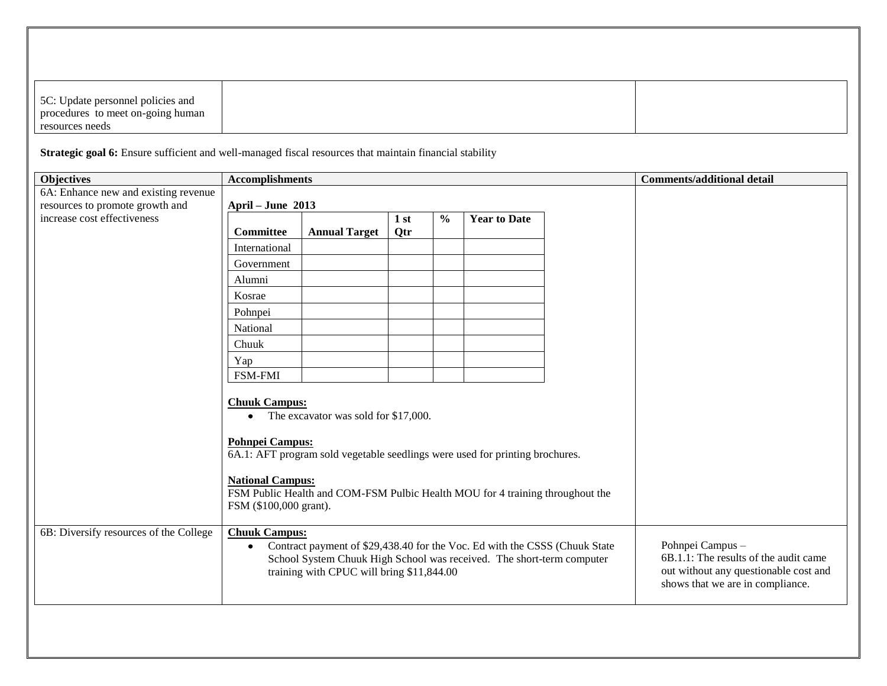| 5C: Update personnel policies and |  |
|-----------------------------------|--|
| procedures to meet on-going human |  |
| resources needs                   |  |

Strategic goal 6: Ensure sufficient and well-managed fiscal resources that maintain financial stability

| <b>Objectives</b>                      | <b>Accomplishments</b>                                                                                           |                                                                                                                                                                                                       | <b>Comments/additional detail</b>                                                                                                      |               |              |  |  |
|----------------------------------------|------------------------------------------------------------------------------------------------------------------|-------------------------------------------------------------------------------------------------------------------------------------------------------------------------------------------------------|----------------------------------------------------------------------------------------------------------------------------------------|---------------|--------------|--|--|
| 6A: Enhance new and existing revenue   |                                                                                                                  |                                                                                                                                                                                                       |                                                                                                                                        |               |              |  |  |
| resources to promote growth and        | April - June 2013                                                                                                |                                                                                                                                                                                                       |                                                                                                                                        |               |              |  |  |
| increase cost effectiveness            |                                                                                                                  |                                                                                                                                                                                                       | 1st                                                                                                                                    | $\frac{0}{0}$ | Year to Date |  |  |
|                                        | <b>Committee</b>                                                                                                 | <b>Annual Target</b>                                                                                                                                                                                  | Qtr                                                                                                                                    |               |              |  |  |
|                                        | International                                                                                                    |                                                                                                                                                                                                       |                                                                                                                                        |               |              |  |  |
|                                        | Government                                                                                                       |                                                                                                                                                                                                       |                                                                                                                                        |               |              |  |  |
|                                        | Alumni                                                                                                           |                                                                                                                                                                                                       |                                                                                                                                        |               |              |  |  |
|                                        | Kosrae                                                                                                           |                                                                                                                                                                                                       |                                                                                                                                        |               |              |  |  |
|                                        | Pohnpei                                                                                                          |                                                                                                                                                                                                       |                                                                                                                                        |               |              |  |  |
|                                        | National                                                                                                         |                                                                                                                                                                                                       |                                                                                                                                        |               |              |  |  |
|                                        | Chuuk                                                                                                            |                                                                                                                                                                                                       |                                                                                                                                        |               |              |  |  |
|                                        | Yap                                                                                                              |                                                                                                                                                                                                       |                                                                                                                                        |               |              |  |  |
|                                        | <b>FSM-FMI</b>                                                                                                   |                                                                                                                                                                                                       |                                                                                                                                        |               |              |  |  |
|                                        | <b>Chuuk Campus:</b><br>$\bullet$<br><b>Pohnpei Campus:</b><br><b>National Campus:</b><br>FSM (\$100,000 grant). | The excavator was sold for \$17,000.<br>6A.1: AFT program sold vegetable seedlings were used for printing brochures.<br>FSM Public Health and COM-FSM Pulbic Health MOU for 4 training throughout the |                                                                                                                                        |               |              |  |  |
| 6B: Diversify resources of the College | <b>Chuuk Campus:</b><br>$\bullet$                                                                                | Contract payment of \$29,438.40 for the Voc. Ed with the CSSS (Chuuk State<br>School System Chuuk High School was received. The short-term computer<br>training with CPUC will bring \$11,844.00      | Pohnpei Campus -<br>6B.1.1: The results of the audit came<br>out without any questionable cost and<br>shows that we are in compliance. |               |              |  |  |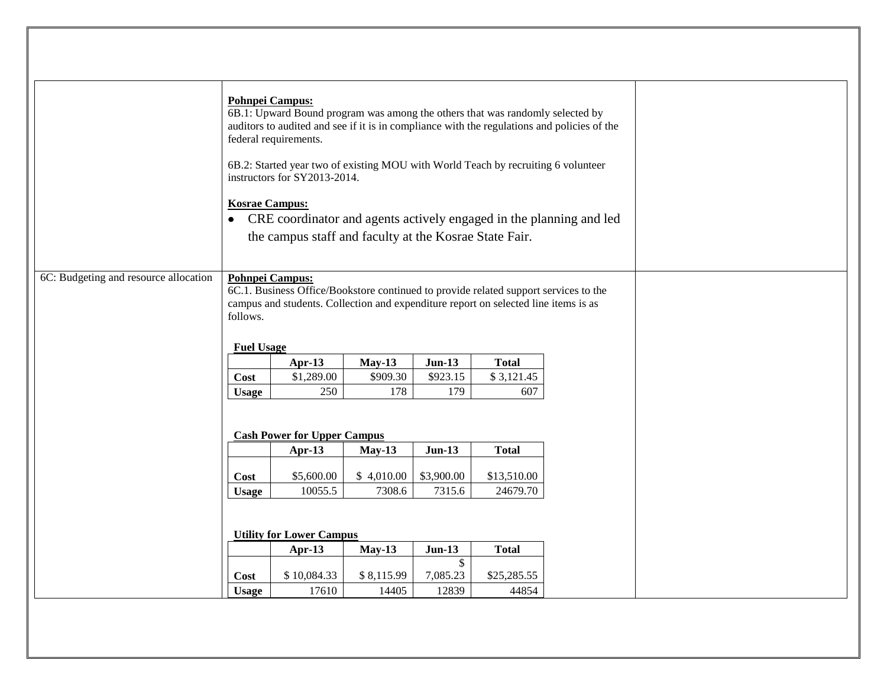|                                       | <b>Pohnpei Campus:</b><br><b>Kosrae Campus:</b><br>$\bullet$                         | 6B.1: Upward Bound program was among the others that was randomly selected by<br>auditors to audited and see if it is in compliance with the regulations and policies of the<br>federal requirements.<br>6B.2: Started year two of existing MOU with World Teach by recruiting 6 volunteer<br>instructors for SY2013-2014.<br>CRE coordinator and agents actively engaged in the planning and led<br>the campus staff and faculty at the Kosrae State Fair. |            |                          |              |  |  |  |  |
|---------------------------------------|--------------------------------------------------------------------------------------|-------------------------------------------------------------------------------------------------------------------------------------------------------------------------------------------------------------------------------------------------------------------------------------------------------------------------------------------------------------------------------------------------------------------------------------------------------------|------------|--------------------------|--------------|--|--|--|--|
| 6C: Budgeting and resource allocation | follows.                                                                             | <b>Pohnpei Campus:</b><br>6C.1. Business Office/Bookstore continued to provide related support services to the<br>campus and students. Collection and expenditure report on selected line items is as                                                                                                                                                                                                                                                       |            |                          |              |  |  |  |  |
|                                       | <b>Fuel Usage</b>                                                                    |                                                                                                                                                                                                                                                                                                                                                                                                                                                             |            |                          |              |  |  |  |  |
|                                       |                                                                                      | Apr-13                                                                                                                                                                                                                                                                                                                                                                                                                                                      | $May-13$   | $Jun-13$                 | <b>Total</b> |  |  |  |  |
|                                       | Cost                                                                                 | \$1,289.00                                                                                                                                                                                                                                                                                                                                                                                                                                                  | \$909.30   | \$923.15                 | \$3,121.45   |  |  |  |  |
|                                       | <b>Usage</b>                                                                         | 250                                                                                                                                                                                                                                                                                                                                                                                                                                                         | 178        | 179                      | 607          |  |  |  |  |
|                                       |                                                                                      | <b>Cash Power for Upper Campus</b><br>Apr-13                                                                                                                                                                                                                                                                                                                                                                                                                | $May-13$   |                          |              |  |  |  |  |
|                                       |                                                                                      |                                                                                                                                                                                                                                                                                                                                                                                                                                                             |            | $Jun-13$                 | <b>Total</b> |  |  |  |  |
|                                       | Cost                                                                                 | \$5,600.00                                                                                                                                                                                                                                                                                                                                                                                                                                                  | \$4,010.00 |                          |              |  |  |  |  |
|                                       | \$3,900.00<br>\$13,510.00<br>10055.5<br>7308.6<br>7315.6<br>24679.70<br><b>Usage</b> |                                                                                                                                                                                                                                                                                                                                                                                                                                                             |            |                          |              |  |  |  |  |
|                                       | <b>Utility for Lower Campus</b>                                                      |                                                                                                                                                                                                                                                                                                                                                                                                                                                             |            |                          |              |  |  |  |  |
|                                       |                                                                                      | Apr-13                                                                                                                                                                                                                                                                                                                                                                                                                                                      | $May-13$   | $Jun-13$<br>$\mathbb{S}$ | <b>Total</b> |  |  |  |  |
|                                       | Cost                                                                                 | \$10,084.33                                                                                                                                                                                                                                                                                                                                                                                                                                                 | \$8,115.99 | 7,085.23                 | \$25,285.55  |  |  |  |  |
|                                       | <b>Usage</b>                                                                         | 17610                                                                                                                                                                                                                                                                                                                                                                                                                                                       | 14405      | 12839                    | 44854        |  |  |  |  |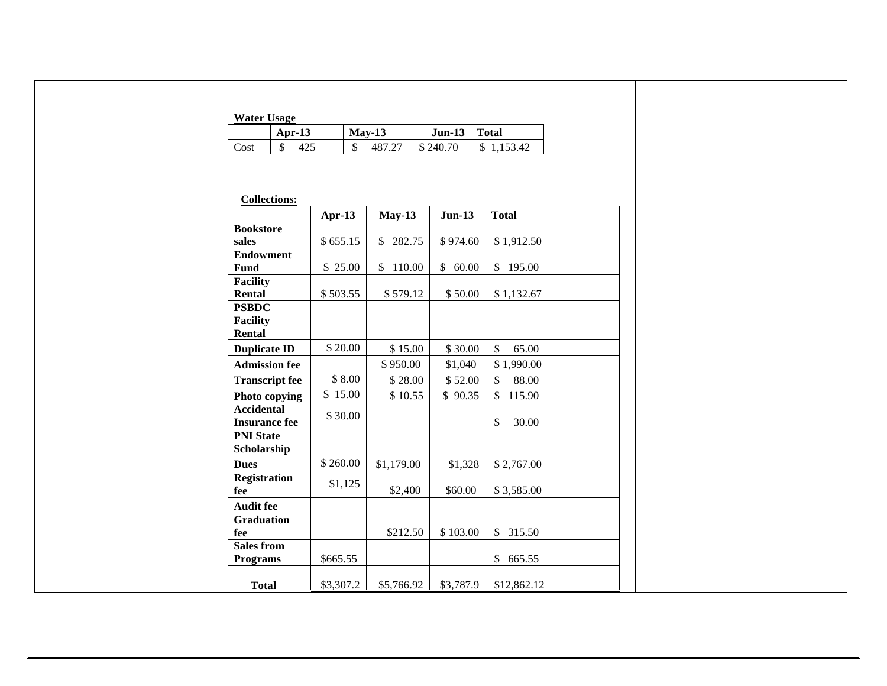| Water Hsaoe |  |
|-------------|--|

|      | <b><i>HARL UBUEL</i></b> |              |                |            |  |  |  |  |  |
|------|--------------------------|--------------|----------------|------------|--|--|--|--|--|
|      | Apr-13                   | $May-13$     | $Jun-13$ Total |            |  |  |  |  |  |
| Cost |                          | 487.27<br>\$ | \$240.70       | \$1,153.42 |  |  |  |  |  |

| <b>Collections:</b>   |           |              |             |              |
|-----------------------|-----------|--------------|-------------|--------------|
|                       | Apr- $13$ | $May-13$     | $Jun-13$    | <b>Total</b> |
| <b>Bookstore</b>      |           |              |             |              |
| sales                 | \$655.15  | 282.75<br>\$ | \$974.60    | \$1,912.50   |
| <b>Endowment</b>      |           |              |             |              |
| Fund                  | \$25.00   | 110.00<br>\$ | 60.00<br>\$ | \$<br>195.00 |
| <b>Facility</b>       |           |              |             |              |
| Rental                | \$503.55  | \$579.12     | \$50.00     | \$1,132.67   |
| <b>PSBDC</b>          |           |              |             |              |
| <b>Facility</b>       |           |              |             |              |
| Rental                |           |              |             |              |
| <b>Duplicate ID</b>   | \$20.00   | \$15.00      | \$30.00     | \$<br>65.00  |
| <b>Admission fee</b>  |           | \$950.00     | \$1,040     | \$1,990.00   |
| <b>Transcript fee</b> | \$8.00    | \$28.00      | \$52.00     | \$<br>88.00  |
| Photo copying         | \$15.00   | \$10.55      | \$90.35     | \$<br>115.90 |
| <b>Accidental</b>     | \$30.00   |              |             |              |
| <b>Insurance fee</b>  |           |              |             | \$<br>30.00  |
| <b>PNI State</b>      |           |              |             |              |
| Scholarship           |           |              |             |              |
| <b>Dues</b>           | \$260.00  | \$1,179.00   | \$1,328     | \$2,767.00   |
| <b>Registration</b>   | \$1,125   |              |             |              |
| fee                   |           | \$2,400      | \$60.00     | \$3,585.00   |
| <b>Audit fee</b>      |           |              |             |              |
| <b>Graduation</b>     |           |              |             |              |
| fee                   |           | \$212.50     | \$103.00    | \$<br>315.50 |
| <b>Sales from</b>     |           |              |             |              |
| <b>Programs</b>       | \$665.55  |              |             | \$<br>665.55 |
| <b>Total</b>          | \$3,307.2 | \$5,766.92   | \$3,787.9   | \$12,862.12  |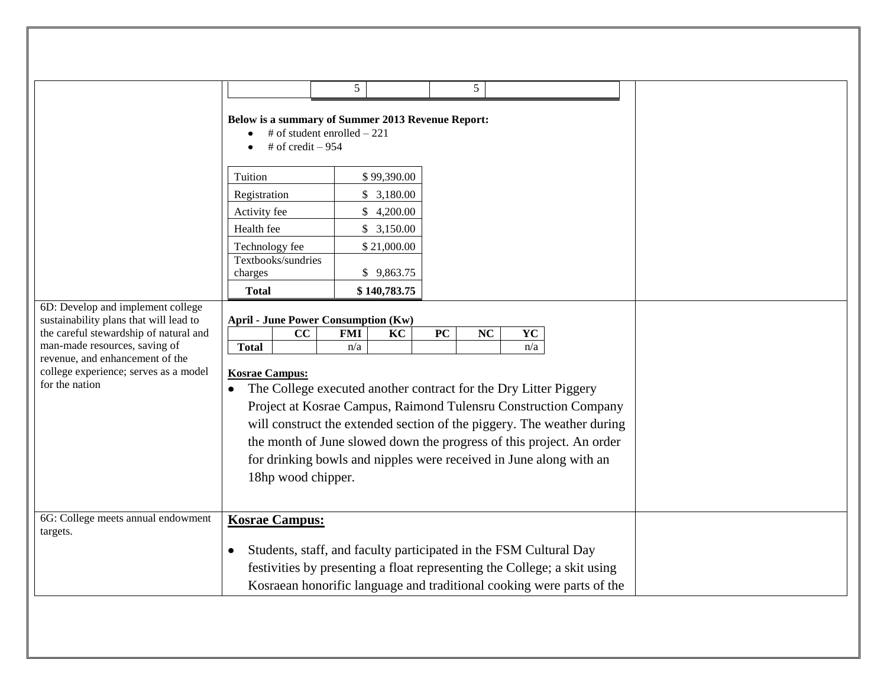|                                                                                                                                                                                                                                                      |                                                                                                                                                                                                                                                                                                                                                                                                                                                                                | 5            | 5 |                                                                                                                                                                                                                        |  |
|------------------------------------------------------------------------------------------------------------------------------------------------------------------------------------------------------------------------------------------------------|--------------------------------------------------------------------------------------------------------------------------------------------------------------------------------------------------------------------------------------------------------------------------------------------------------------------------------------------------------------------------------------------------------------------------------------------------------------------------------|--------------|---|------------------------------------------------------------------------------------------------------------------------------------------------------------------------------------------------------------------------|--|
|                                                                                                                                                                                                                                                      | Below is a summary of Summer 2013 Revenue Report:<br># of student enrolled $-221$<br># of credit $-954$                                                                                                                                                                                                                                                                                                                                                                        |              |   |                                                                                                                                                                                                                        |  |
|                                                                                                                                                                                                                                                      | Tuition                                                                                                                                                                                                                                                                                                                                                                                                                                                                        | \$99,390.00  |   |                                                                                                                                                                                                                        |  |
|                                                                                                                                                                                                                                                      | Registration                                                                                                                                                                                                                                                                                                                                                                                                                                                                   | \$3,180.00   |   |                                                                                                                                                                                                                        |  |
|                                                                                                                                                                                                                                                      | Activity fee                                                                                                                                                                                                                                                                                                                                                                                                                                                                   | \$4,200.00   |   |                                                                                                                                                                                                                        |  |
|                                                                                                                                                                                                                                                      | Health fee                                                                                                                                                                                                                                                                                                                                                                                                                                                                     | \$3,150.00   |   |                                                                                                                                                                                                                        |  |
|                                                                                                                                                                                                                                                      | Technology fee                                                                                                                                                                                                                                                                                                                                                                                                                                                                 | \$21,000.00  |   |                                                                                                                                                                                                                        |  |
|                                                                                                                                                                                                                                                      | Textbooks/sundries<br>charges                                                                                                                                                                                                                                                                                                                                                                                                                                                  | \$9,863.75   |   |                                                                                                                                                                                                                        |  |
|                                                                                                                                                                                                                                                      | <b>Total</b>                                                                                                                                                                                                                                                                                                                                                                                                                                                                   | \$140,783.75 |   |                                                                                                                                                                                                                        |  |
| 6D: Develop and implement college<br>sustainability plans that will lead to<br>the careful stewardship of natural and<br>man-made resources, saving of<br>revenue, and enhancement of the<br>college experience; serves as a model<br>for the nation | <b>April - June Power Consumption (Kw)</b><br>cc<br><b>Total</b><br><b>Kosrae Campus:</b><br>The College executed another contract for the Dry Litter Piggery<br>Project at Kosrae Campus, Raimond Tulensru Construction Company<br>will construct the extended section of the piggery. The weather during<br>the month of June slowed down the progress of this project. An order<br>for drinking bowls and nipples were received in June along with an<br>18hp wood chipper. |              |   |                                                                                                                                                                                                                        |  |
| 6G: College meets annual endowment<br>targets.                                                                                                                                                                                                       | <b>Kosrae Campus:</b>                                                                                                                                                                                                                                                                                                                                                                                                                                                          |              |   | Students, staff, and faculty participated in the FSM Cultural Day<br>festivities by presenting a float representing the College; a skit using<br>Kosraean honorific language and traditional cooking were parts of the |  |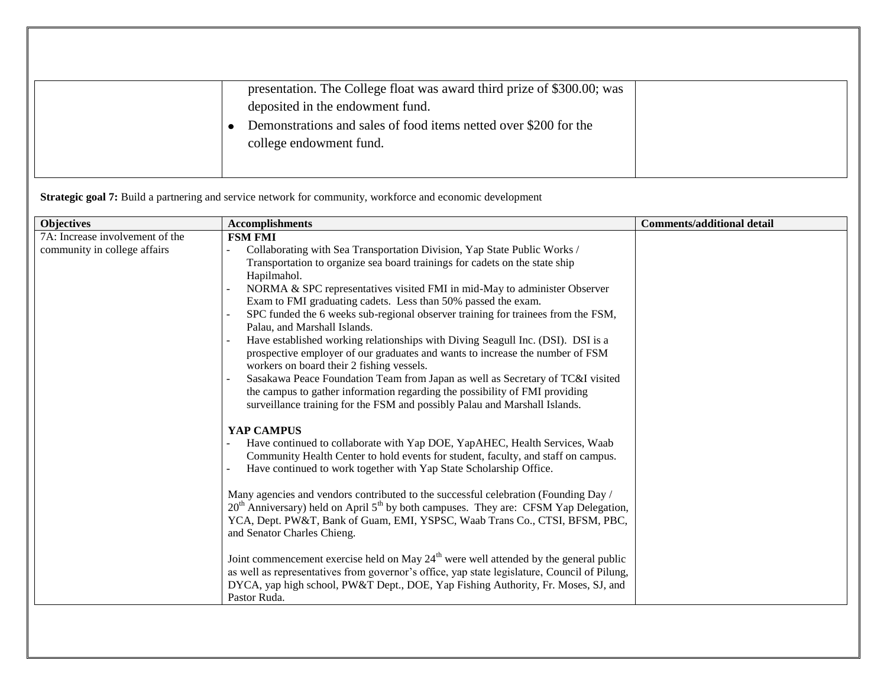| presentation. The College float was award third prize of \$300.00; was<br>deposited in the endowment fund.<br>Demonstrations and sales of food items netted over \$200 for the<br>college endowment fund. |  |
|-----------------------------------------------------------------------------------------------------------------------------------------------------------------------------------------------------------|--|
|                                                                                                                                                                                                           |  |

**Strategic goal 7:** Build a partnering and service network for community, workforce and economic development

| <b>Objectives</b>               | <b>Accomplishments</b>                                                                                                                                                                                                                                                                                                                                                                                                                                                                                                                                                                                                                                                                                                                                                                                                                                                                                                             | <b>Comments/additional detail</b> |
|---------------------------------|------------------------------------------------------------------------------------------------------------------------------------------------------------------------------------------------------------------------------------------------------------------------------------------------------------------------------------------------------------------------------------------------------------------------------------------------------------------------------------------------------------------------------------------------------------------------------------------------------------------------------------------------------------------------------------------------------------------------------------------------------------------------------------------------------------------------------------------------------------------------------------------------------------------------------------|-----------------------------------|
| 7A: Increase involvement of the | <b>FSM FMI</b>                                                                                                                                                                                                                                                                                                                                                                                                                                                                                                                                                                                                                                                                                                                                                                                                                                                                                                                     |                                   |
| community in college affairs    | Collaborating with Sea Transportation Division, Yap State Public Works /<br>Transportation to organize sea board trainings for cadets on the state ship<br>Hapilmahol.<br>NORMA & SPC representatives visited FMI in mid-May to administer Observer<br>Exam to FMI graduating cadets. Less than 50% passed the exam.<br>SPC funded the 6 weeks sub-regional observer training for trainees from the FSM,<br>Palau, and Marshall Islands.<br>Have established working relationships with Diving Seagull Inc. (DSI). DSI is a<br>prospective employer of our graduates and wants to increase the number of FSM<br>workers on board their 2 fishing vessels.<br>Sasakawa Peace Foundation Team from Japan as well as Secretary of TC&I visited<br>the campus to gather information regarding the possibility of FMI providing                                                                                                         |                                   |
|                                 | surveillance training for the FSM and possibly Palau and Marshall Islands.<br>YAP CAMPUS<br>Have continued to collaborate with Yap DOE, YapAHEC, Health Services, Waab<br>Community Health Center to hold events for student, faculty, and staff on campus.<br>Have continued to work together with Yap State Scholarship Office.<br>Many agencies and vendors contributed to the successful celebration (Founding Day /<br>$20th$ Anniversary) held on April $5th$ by both campuses. They are: CFSM Yap Delegation,<br>YCA, Dept. PW&T, Bank of Guam, EMI, YSPSC, Waab Trans Co., CTSI, BFSM, PBC,<br>and Senator Charles Chieng.<br>Joint commencement exercise held on May $24th$ were well attended by the general public<br>as well as representatives from governor's office, yap state legislature, Council of Pilung,<br>DYCA, yap high school, PW&T Dept., DOE, Yap Fishing Authority, Fr. Moses, SJ, and<br>Pastor Ruda. |                                   |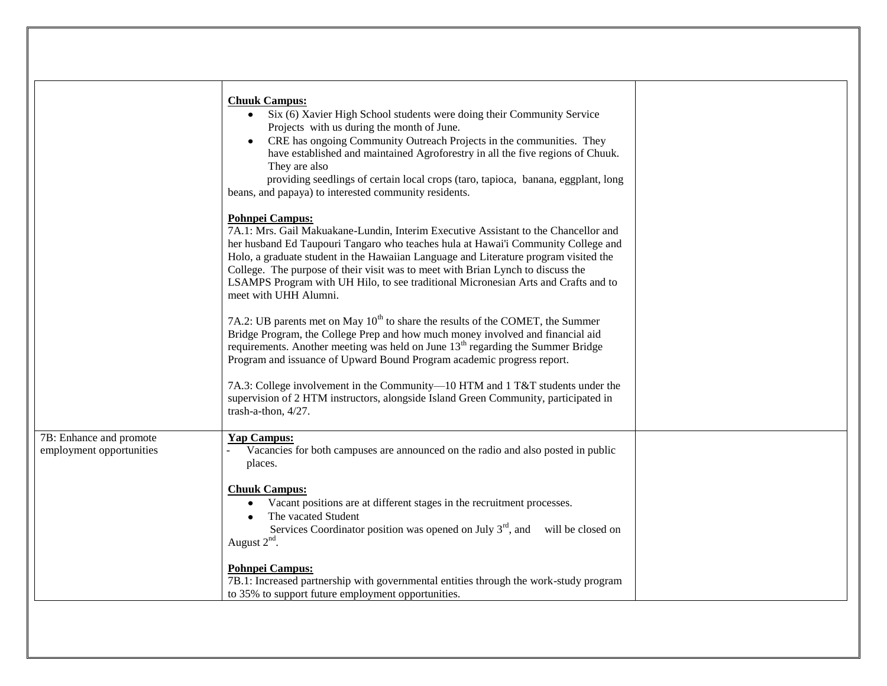|                                                     | <b>Chuuk Campus:</b><br>Six (6) Xavier High School students were doing their Community Service<br>Projects with us during the month of June.<br>CRE has ongoing Community Outreach Projects in the communities. They<br>have established and maintained Agroforestry in all the five regions of Chuuk.<br>They are also                                                                                                                                                                      |  |
|-----------------------------------------------------|----------------------------------------------------------------------------------------------------------------------------------------------------------------------------------------------------------------------------------------------------------------------------------------------------------------------------------------------------------------------------------------------------------------------------------------------------------------------------------------------|--|
|                                                     | providing seedlings of certain local crops (taro, tapioca, banana, eggplant, long<br>beans, and papaya) to interested community residents.                                                                                                                                                                                                                                                                                                                                                   |  |
|                                                     | <b>Pohnpei Campus:</b><br>7A.1: Mrs. Gail Makuakane-Lundin, Interim Executive Assistant to the Chancellor and<br>her husband Ed Taupouri Tangaro who teaches hula at Hawai'i Community College and<br>Holo, a graduate student in the Hawaiian Language and Literature program visited the<br>College. The purpose of their visit was to meet with Brian Lynch to discuss the<br>LSAMPS Program with UH Hilo, to see traditional Micronesian Arts and Crafts and to<br>meet with UHH Alumni. |  |
|                                                     | 7A.2: UB parents met on May $10^{th}$ to share the results of the COMET, the Summer<br>Bridge Program, the College Prep and how much money involved and financial aid<br>requirements. Another meeting was held on June 13 <sup>th</sup> regarding the Summer Bridge<br>Program and issuance of Upward Bound Program academic progress report.                                                                                                                                               |  |
|                                                     | 7A.3: College involvement in the Community-10 HTM and 1 T&T students under the<br>supervision of 2 HTM instructors, alongside Island Green Community, participated in<br>trash-a-thon, 4/27.                                                                                                                                                                                                                                                                                                 |  |
| 7B: Enhance and promote<br>employment opportunities | <b>Yap Campus:</b><br>Vacancies for both campuses are announced on the radio and also posted in public<br>places.                                                                                                                                                                                                                                                                                                                                                                            |  |
|                                                     | <b>Chuuk Campus:</b><br>Vacant positions are at different stages in the recruitment processes.<br>The vacated Student<br>Services Coordinator position was opened on July $3rd$ , and<br>will be closed on<br>August $2nd$ .                                                                                                                                                                                                                                                                 |  |
|                                                     | <b>Pohnpei Campus:</b><br>7B.1: Increased partnership with governmental entities through the work-study program<br>to 35% to support future employment opportunities.                                                                                                                                                                                                                                                                                                                        |  |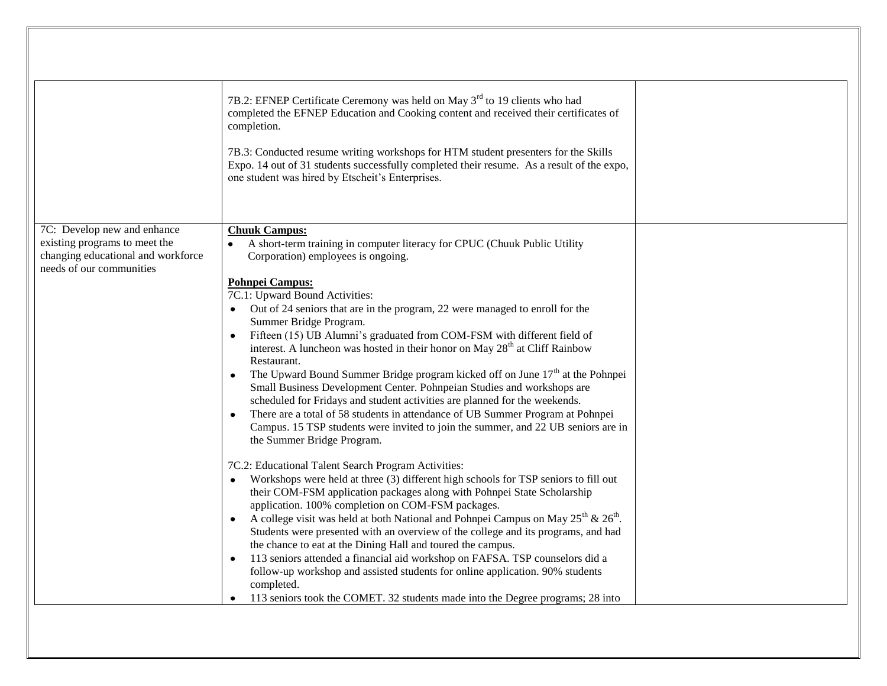|                                                                                                                                | 7B.2: EFNEP Certificate Ceremony was held on May 3 <sup>rd</sup> to 19 clients who had<br>completed the EFNEP Education and Cooking content and received their certificates of<br>completion.<br>7B.3: Conducted resume writing workshops for HTM student presenters for the Skills<br>Expo. 14 out of 31 students successfully completed their resume. As a result of the expo,<br>one student was hired by Etscheit's Enterprises.                                                                                                                  |  |
|--------------------------------------------------------------------------------------------------------------------------------|-------------------------------------------------------------------------------------------------------------------------------------------------------------------------------------------------------------------------------------------------------------------------------------------------------------------------------------------------------------------------------------------------------------------------------------------------------------------------------------------------------------------------------------------------------|--|
| 7C: Develop new and enhance<br>existing programs to meet the<br>changing educational and workforce<br>needs of our communities | <b>Chuuk Campus:</b><br>A short-term training in computer literacy for CPUC (Chuuk Public Utility<br>Corporation) employees is ongoing.<br><b>Pohnpei Campus:</b><br>7C.1: Upward Bound Activities:<br>Out of 24 seniors that are in the program, 22 were managed to enroll for the<br>$\bullet$                                                                                                                                                                                                                                                      |  |
|                                                                                                                                | Summer Bridge Program.<br>Fifteen (15) UB Alumni's graduated from COM-FSM with different field of<br>interest. A luncheon was hosted in their honor on May 28 <sup>th</sup> at Cliff Rainbow<br>Restaurant.<br>The Upward Bound Summer Bridge program kicked off on June $17th$ at the Pohnpei<br>$\bullet$<br>Small Business Development Center. Pohnpeian Studies and workshops are<br>scheduled for Fridays and student activities are planned for the weekends.<br>There are a total of 58 students in attendance of UB Summer Program at Pohnpei |  |
|                                                                                                                                | Campus. 15 TSP students were invited to join the summer, and 22 UB seniors are in<br>the Summer Bridge Program.<br>7C.2: Educational Talent Search Program Activities:<br>Workshops were held at three (3) different high schools for TSP seniors to fill out<br>their COM-FSM application packages along with Pohnpei State Scholarship<br>application. 100% completion on COM-FSM packages.                                                                                                                                                         |  |
|                                                                                                                                | A college visit was held at both National and Pohnpei Campus on May $25^{th}$ & $26^{th}$ .<br>Students were presented with an overview of the college and its programs, and had<br>the chance to eat at the Dining Hall and toured the campus.<br>113 seniors attended a financial aid workshop on FAFSA. TSP counselors did a<br>follow-up workshop and assisted students for online application. 90% students<br>completed.<br>113 seniors took the COMET. 32 students made into the Degree programs; 28 into                                      |  |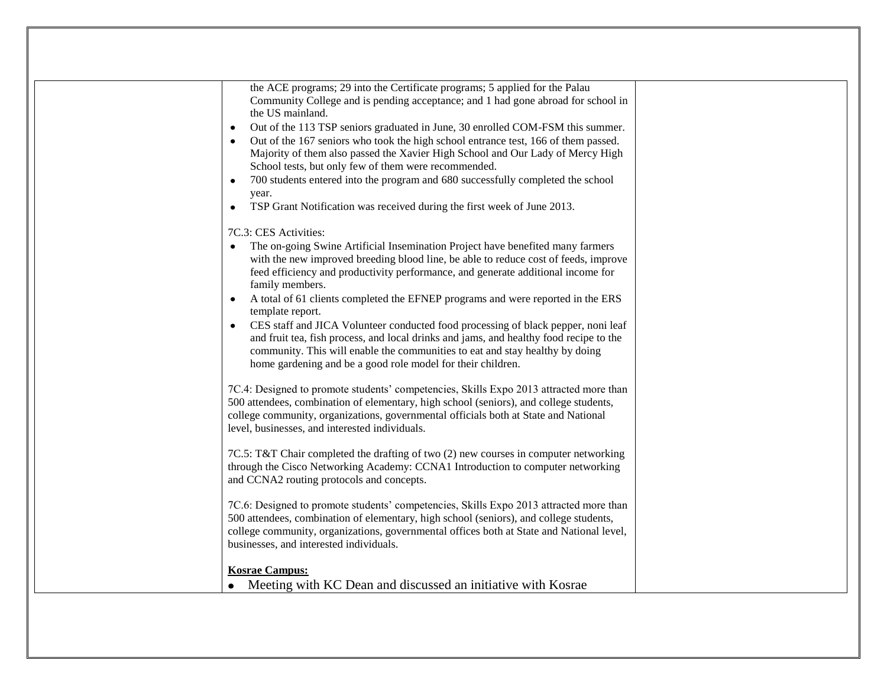| the ACE programs; 29 into the Certificate programs; 5 applied for the Palau<br>Community College and is pending acceptance; and 1 had gone abroad for school in<br>the US mainland.<br>Out of the 113 TSP seniors graduated in June, 30 enrolled COM-FSM this summer.<br>٠<br>Out of the 167 seniors who took the high school entrance test, 166 of them passed.<br>Majority of them also passed the Xavier High School and Our Lady of Mercy High<br>School tests, but only few of them were recommended.<br>700 students entered into the program and 680 successfully completed the school<br>$\bullet$<br>year.                                                                                                                        |  |
|--------------------------------------------------------------------------------------------------------------------------------------------------------------------------------------------------------------------------------------------------------------------------------------------------------------------------------------------------------------------------------------------------------------------------------------------------------------------------------------------------------------------------------------------------------------------------------------------------------------------------------------------------------------------------------------------------------------------------------------------|--|
| TSP Grant Notification was received during the first week of June 2013.<br>$\bullet$                                                                                                                                                                                                                                                                                                                                                                                                                                                                                                                                                                                                                                                       |  |
| 7C.3: CES Activities:<br>The on-going Swine Artificial Insemination Project have benefited many farmers<br>with the new improved breeding blood line, be able to reduce cost of feeds, improve<br>feed efficiency and productivity performance, and generate additional income for<br>family members.<br>A total of 61 clients completed the EFNEP programs and were reported in the ERS<br>template report.<br>CES staff and JICA Volunteer conducted food processing of black pepper, noni leaf<br>and fruit tea, fish process, and local drinks and jams, and healthy food recipe to the<br>community. This will enable the communities to eat and stay healthy by doing<br>home gardening and be a good role model for their children. |  |
| 7C.4: Designed to promote students' competencies, Skills Expo 2013 attracted more than<br>500 attendees, combination of elementary, high school (seniors), and college students,<br>college community, organizations, governmental officials both at State and National<br>level, businesses, and interested individuals.<br>7C.5: T&T Chair completed the drafting of two (2) new courses in computer networking<br>through the Cisco Networking Academy: CCNA1 Introduction to computer networking<br>and CCNA2 routing protocols and concepts.                                                                                                                                                                                          |  |
| 7C.6: Designed to promote students' competencies, Skills Expo 2013 attracted more than<br>500 attendees, combination of elementary, high school (seniors), and college students,<br>college community, organizations, governmental offices both at State and National level,<br>businesses, and interested individuals.                                                                                                                                                                                                                                                                                                                                                                                                                    |  |
| <b>Kosrae Campus:</b><br>Meeting with KC Dean and discussed an initiative with Kosrae                                                                                                                                                                                                                                                                                                                                                                                                                                                                                                                                                                                                                                                      |  |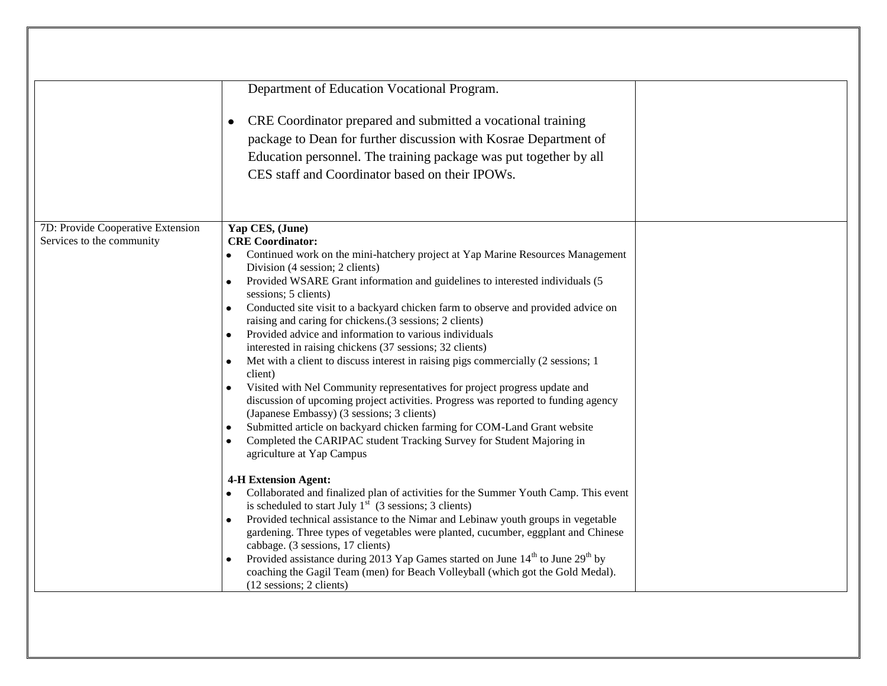|                                                                | Department of Education Vocational Program.<br>CRE Coordinator prepared and submitted a vocational training<br>package to Dean for further discussion with Kosrae Department of<br>Education personnel. The training package was put together by all<br>CES staff and Coordinator based on their IPOWs.                                                                                                                                                                                                                                                                                                                                                                                                                                                                                                                                                                                                                                                                                                                                                                                                                                                                                                                                                                                                                                                                                                                                                                                                                                                                                                                                                                   |  |
|----------------------------------------------------------------|---------------------------------------------------------------------------------------------------------------------------------------------------------------------------------------------------------------------------------------------------------------------------------------------------------------------------------------------------------------------------------------------------------------------------------------------------------------------------------------------------------------------------------------------------------------------------------------------------------------------------------------------------------------------------------------------------------------------------------------------------------------------------------------------------------------------------------------------------------------------------------------------------------------------------------------------------------------------------------------------------------------------------------------------------------------------------------------------------------------------------------------------------------------------------------------------------------------------------------------------------------------------------------------------------------------------------------------------------------------------------------------------------------------------------------------------------------------------------------------------------------------------------------------------------------------------------------------------------------------------------------------------------------------------------|--|
| 7D: Provide Cooperative Extension<br>Services to the community | Yap CES, (June)<br><b>CRE</b> Coordinator:<br>Continued work on the mini-hatchery project at Yap Marine Resources Management<br>Division (4 session; 2 clients)<br>Provided WSARE Grant information and guidelines to interested individuals (5<br>sessions; 5 clients)<br>Conducted site visit to a backyard chicken farm to observe and provided advice on<br>raising and caring for chickens.(3 sessions; 2 clients)<br>Provided advice and information to various individuals<br>interested in raising chickens (37 sessions; 32 clients)<br>Met with a client to discuss interest in raising pigs commercially (2 sessions; 1<br>client)<br>Visited with Nel Community representatives for project progress update and<br>discussion of upcoming project activities. Progress was reported to funding agency<br>(Japanese Embassy) (3 sessions; 3 clients)<br>Submitted article on backyard chicken farming for COM-Land Grant website<br>Completed the CARIPAC student Tracking Survey for Student Majoring in<br>agriculture at Yap Campus<br><b>4-H Extension Agent:</b><br>Collaborated and finalized plan of activities for the Summer Youth Camp. This event<br>is scheduled to start July $1st$ (3 sessions; 3 clients)<br>Provided technical assistance to the Nimar and Lebinaw youth groups in vegetable<br>gardening. Three types of vegetables were planted, cucumber, eggplant and Chinese<br>cabbage. (3 sessions, 17 clients)<br>Provided assistance during 2013 Yap Games started on June 14 <sup>th</sup> to June 29 <sup>th</sup> by<br>coaching the Gagil Team (men) for Beach Volleyball (which got the Gold Medal).<br>(12 sessions; 2 clients) |  |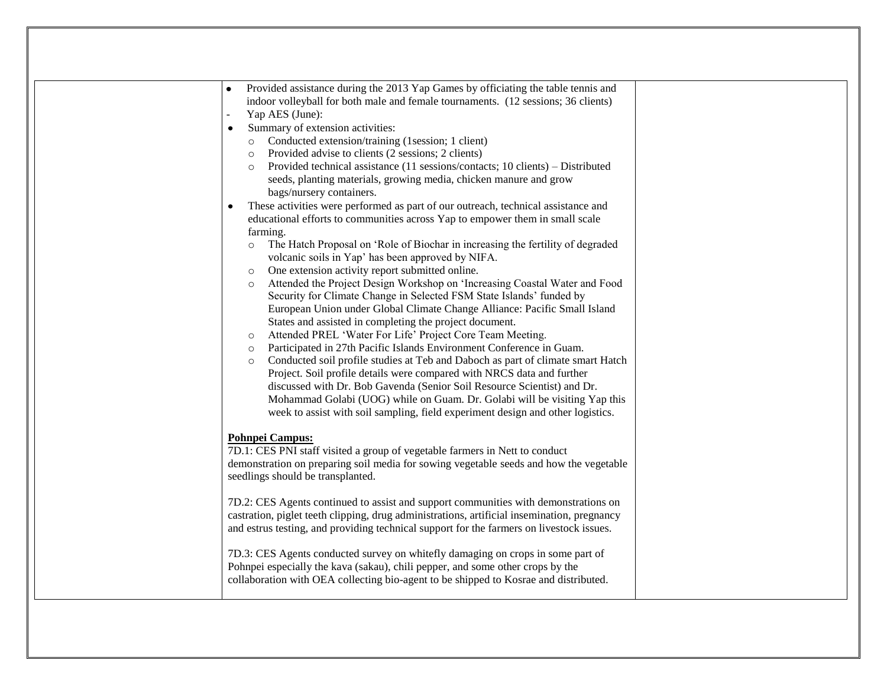| Provided assistance during the 2013 Yap Games by officiating the table tennis and                                                                                                                                                                                                                                                                                                                                                                                                                                                                                                                                                                                                                                                                                                                                                                                                                                                                                                                                                                                                                                                                                                                                                                                                                                                                                                                                                                                                                                                                                                                                                                                                                                                                                                                                                                                                                                                                                                                                                                                                 |
|-----------------------------------------------------------------------------------------------------------------------------------------------------------------------------------------------------------------------------------------------------------------------------------------------------------------------------------------------------------------------------------------------------------------------------------------------------------------------------------------------------------------------------------------------------------------------------------------------------------------------------------------------------------------------------------------------------------------------------------------------------------------------------------------------------------------------------------------------------------------------------------------------------------------------------------------------------------------------------------------------------------------------------------------------------------------------------------------------------------------------------------------------------------------------------------------------------------------------------------------------------------------------------------------------------------------------------------------------------------------------------------------------------------------------------------------------------------------------------------------------------------------------------------------------------------------------------------------------------------------------------------------------------------------------------------------------------------------------------------------------------------------------------------------------------------------------------------------------------------------------------------------------------------------------------------------------------------------------------------------------------------------------------------------------------------------------------------|
| indoor volleyball for both male and female tournaments. (12 sessions; 36 clients)<br>Yap AES (June):                                                                                                                                                                                                                                                                                                                                                                                                                                                                                                                                                                                                                                                                                                                                                                                                                                                                                                                                                                                                                                                                                                                                                                                                                                                                                                                                                                                                                                                                                                                                                                                                                                                                                                                                                                                                                                                                                                                                                                              |
| Summary of extension activities:<br>$\bullet$                                                                                                                                                                                                                                                                                                                                                                                                                                                                                                                                                                                                                                                                                                                                                                                                                                                                                                                                                                                                                                                                                                                                                                                                                                                                                                                                                                                                                                                                                                                                                                                                                                                                                                                                                                                                                                                                                                                                                                                                                                     |
| Conducted extension/training (1session; 1 client)<br>$\circ$<br>Provided advise to clients (2 sessions; 2 clients)<br>$\circ$<br>Provided technical assistance (11 sessions/contacts; 10 clients) – Distributed<br>$\circ$<br>seeds, planting materials, growing media, chicken manure and grow<br>bags/nursery containers.                                                                                                                                                                                                                                                                                                                                                                                                                                                                                                                                                                                                                                                                                                                                                                                                                                                                                                                                                                                                                                                                                                                                                                                                                                                                                                                                                                                                                                                                                                                                                                                                                                                                                                                                                       |
| These activities were performed as part of our outreach, technical assistance and<br>$\bullet$<br>educational efforts to communities across Yap to empower them in small scale<br>farming.<br>The Hatch Proposal on 'Role of Biochar in increasing the fertility of degraded<br>$\circ$<br>volcanic soils in Yap' has been approved by NIFA.<br>One extension activity report submitted online.<br>$\circ$<br>Attended the Project Design Workshop on 'Increasing Coastal Water and Food<br>$\circ$<br>Security for Climate Change in Selected FSM State Islands' funded by<br>European Union under Global Climate Change Alliance: Pacific Small Island<br>States and assisted in completing the project document.<br>Attended PREL 'Water For Life' Project Core Team Meeting.<br>$\circ$<br>Participated in 27th Pacific Islands Environment Conference in Guam.<br>$\circ$<br>Conducted soil profile studies at Teb and Daboch as part of climate smart Hatch<br>$\circ$<br>Project. Soil profile details were compared with NRCS data and further<br>discussed with Dr. Bob Gavenda (Senior Soil Resource Scientist) and Dr.<br>Mohammad Golabi (UOG) while on Guam. Dr. Golabi will be visiting Yap this<br>week to assist with soil sampling, field experiment design and other logistics.<br>Pohnpei Campus:<br>7D.1: CES PNI staff visited a group of vegetable farmers in Nett to conduct<br>demonstration on preparing soil media for sowing vegetable seeds and how the vegetable<br>seedlings should be transplanted.<br>7D.2: CES Agents continued to assist and support communities with demonstrations on<br>castration, piglet teeth clipping, drug administrations, artificial insemination, pregnancy<br>and estrus testing, and providing technical support for the farmers on livestock issues.<br>7D.3: CES Agents conducted survey on whitefly damaging on crops in some part of<br>Pohnpei especially the kava (sakau), chili pepper, and some other crops by the<br>collaboration with OEA collecting bio-agent to be shipped to Kosrae and distributed. |
|                                                                                                                                                                                                                                                                                                                                                                                                                                                                                                                                                                                                                                                                                                                                                                                                                                                                                                                                                                                                                                                                                                                                                                                                                                                                                                                                                                                                                                                                                                                                                                                                                                                                                                                                                                                                                                                                                                                                                                                                                                                                                   |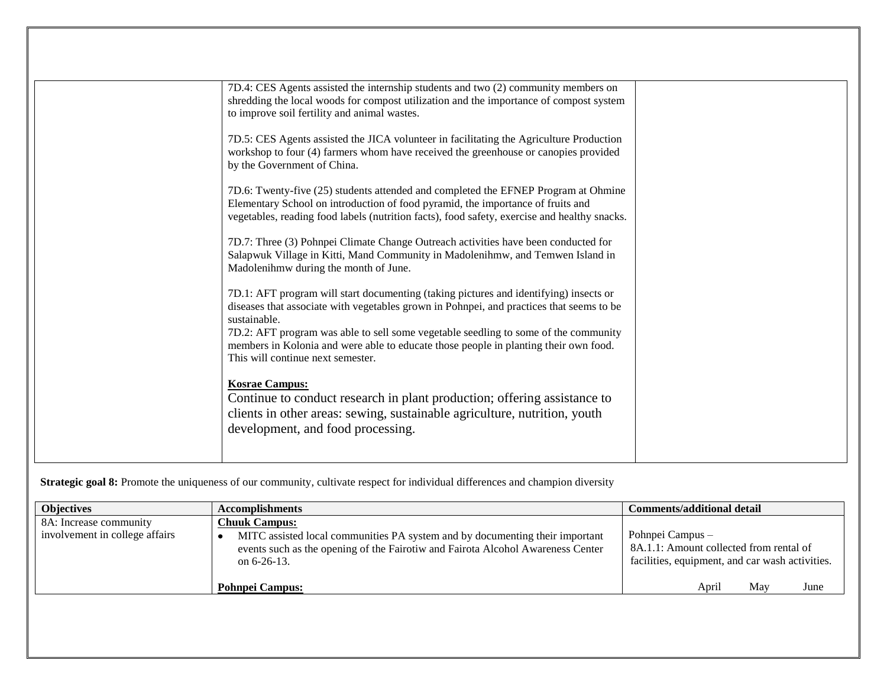| 7D.4: CES Agents assisted the internship students and two (2) community members on<br>shredding the local woods for compost utilization and the importance of compost system<br>to improve soil fertility and animal wastes.                                                                                                                                                                                          |  |
|-----------------------------------------------------------------------------------------------------------------------------------------------------------------------------------------------------------------------------------------------------------------------------------------------------------------------------------------------------------------------------------------------------------------------|--|
| 7D.5: CES Agents assisted the JICA volunteer in facilitating the Agriculture Production<br>workshop to four (4) farmers whom have received the greenhouse or canopies provided<br>by the Government of China.                                                                                                                                                                                                         |  |
| 7D.6: Twenty-five (25) students attended and completed the EFNEP Program at Ohmine<br>Elementary School on introduction of food pyramid, the importance of fruits and<br>vegetables, reading food labels (nutrition facts), food safety, exercise and healthy snacks.                                                                                                                                                 |  |
| 7D.7: Three (3) Pohnpei Climate Change Outreach activities have been conducted for<br>Salapwuk Village in Kitti, Mand Community in Madolenihmw, and Temwen Island in<br>Madolenihmw during the month of June.                                                                                                                                                                                                         |  |
| 7D.1: AFT program will start documenting (taking pictures and identifying) insects or<br>diseases that associate with vegetables grown in Pohnpei, and practices that seems to be<br>sustainable.<br>7D.2: AFT program was able to sell some vegetable seedling to some of the community<br>members in Kolonia and were able to educate those people in planting their own food.<br>This will continue next semester. |  |
| <b>Kosrae Campus:</b><br>Continue to conduct research in plant production; offering assistance to<br>clients in other areas: sewing, sustainable agriculture, nutrition, youth<br>development, and food processing.                                                                                                                                                                                                   |  |

**Strategic goal 8:** Promote the uniqueness of our community, cultivate respect for individual differences and champion diversity

| <b>Objectives</b>                                        | <b>Accomplishments</b>                                                                                                                                                                                    | Comments/additional detail                                                                                     |
|----------------------------------------------------------|-----------------------------------------------------------------------------------------------------------------------------------------------------------------------------------------------------------|----------------------------------------------------------------------------------------------------------------|
| 8A: Increase community<br>involvement in college affairs | <b>Chuuk Campus:</b><br>MITC assisted local communities PA system and by documenting their important<br>events such as the opening of the Fairotiw and Fairota Alcohol Awareness Center<br>on $6-26-13$ . | Pohnpei Campus –<br>8A.1.1: Amount collected from rental of<br>facilities, equipment, and car wash activities. |
|                                                          | <b>Pohnpei Campus:</b>                                                                                                                                                                                    | June<br>Mav<br>April                                                                                           |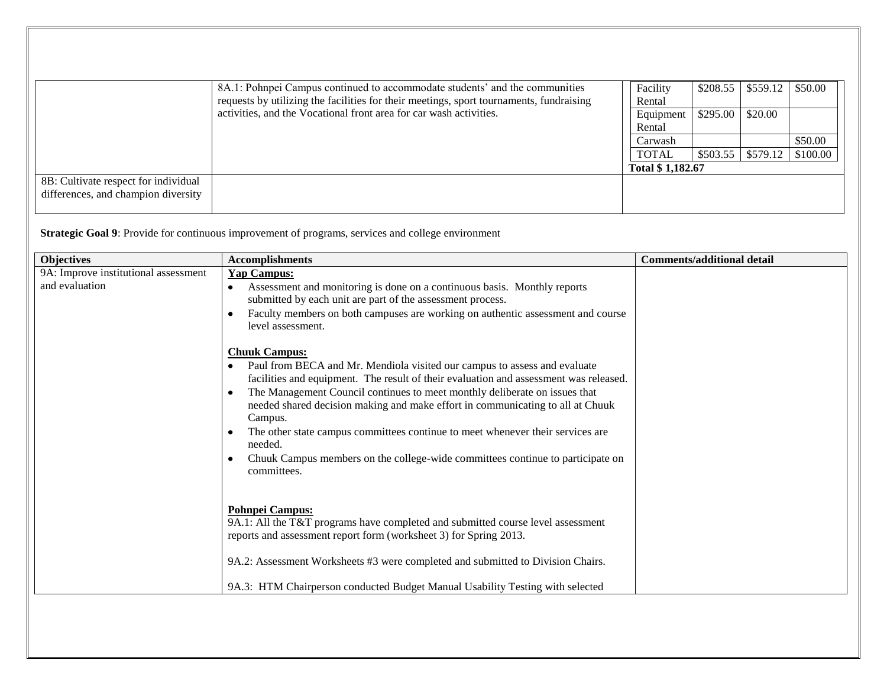|                                      | 8A.1: Pohnpei Campus continued to accommodate students' and the communities             | Facility         |           | $$208.55$   \$559.12 | \$50.00  |
|--------------------------------------|-----------------------------------------------------------------------------------------|------------------|-----------|----------------------|----------|
|                                      | requests by utilizing the facilities for their meetings, sport tournaments, fundraising | Rental           |           |                      |          |
|                                      | activities, and the Vocational front area for car wash activities.                      | Equipment        | $$295.00$ | \$20.00              |          |
|                                      |                                                                                         | Rental           |           |                      |          |
|                                      |                                                                                         | Carwash          |           |                      | \$50.00  |
|                                      |                                                                                         | <b>TOTAL</b>     |           | $$503.55$   \$579.12 | \$100.00 |
|                                      |                                                                                         | Total \$1,182.67 |           |                      |          |
| 8B: Cultivate respect for individual |                                                                                         |                  |           |                      |          |
| differences, and champion diversity  |                                                                                         |                  |           |                      |          |
|                                      |                                                                                         |                  |           |                      |          |

**Strategic Goal 9**: Provide for continuous improvement of programs, services and college environment

| <b>Objectives</b>                                      | <b>Accomplishments</b>                                                                                                                                                                                                                                                                                                                                                                                                                                                                                                                                              | Comments/additional detail |
|--------------------------------------------------------|---------------------------------------------------------------------------------------------------------------------------------------------------------------------------------------------------------------------------------------------------------------------------------------------------------------------------------------------------------------------------------------------------------------------------------------------------------------------------------------------------------------------------------------------------------------------|----------------------------|
| 9A: Improve institutional assessment<br>and evaluation | <b>Yap Campus:</b><br>Assessment and monitoring is done on a continuous basis. Monthly reports<br>$\bullet$<br>submitted by each unit are part of the assessment process.<br>Faculty members on both campuses are working on authentic assessment and course<br>level assessment.                                                                                                                                                                                                                                                                                   |                            |
|                                                        | <b>Chuuk Campus:</b><br>Paul from BECA and Mr. Mendiola visited our campus to assess and evaluate<br>facilities and equipment. The result of their evaluation and assessment was released.<br>The Management Council continues to meet monthly deliberate on issues that<br>needed shared decision making and make effort in communicating to all at Chuuk<br>Campus.<br>The other state campus committees continue to meet whenever their services are<br>needed.<br>Chuuk Campus members on the college-wide committees continue to participate on<br>committees. |                            |
|                                                        | <b>Pohnpei Campus:</b><br>9A.1: All the T&T programs have completed and submitted course level assessment<br>reports and assessment report form (worksheet 3) for Spring 2013.<br>9A.2: Assessment Worksheets #3 were completed and submitted to Division Chairs.<br>9A.3: HTM Chairperson conducted Budget Manual Usability Testing with selected                                                                                                                                                                                                                  |                            |